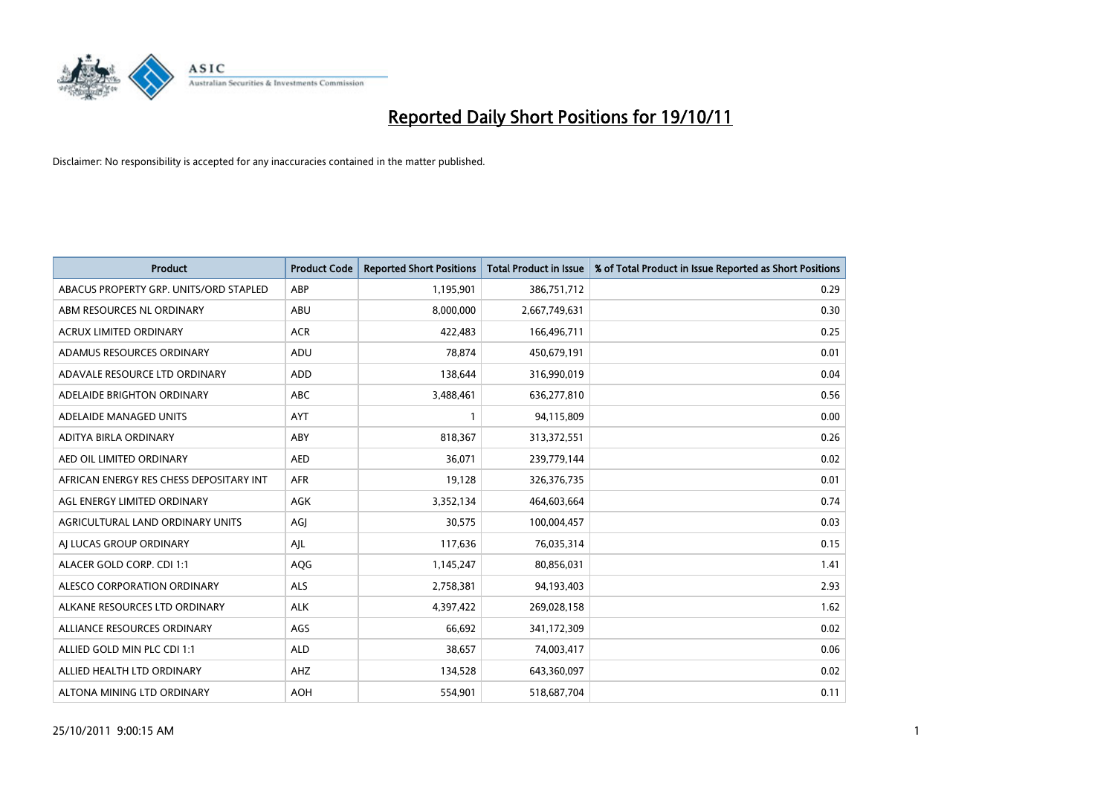

| <b>Product</b>                          | <b>Product Code</b> | <b>Reported Short Positions</b> | <b>Total Product in Issue</b> | % of Total Product in Issue Reported as Short Positions |
|-----------------------------------------|---------------------|---------------------------------|-------------------------------|---------------------------------------------------------|
| ABACUS PROPERTY GRP. UNITS/ORD STAPLED  | ABP                 | 1,195,901                       | 386,751,712                   | 0.29                                                    |
| ABM RESOURCES NL ORDINARY               | ABU                 | 8,000,000                       | 2,667,749,631                 | 0.30                                                    |
| <b>ACRUX LIMITED ORDINARY</b>           | <b>ACR</b>          | 422,483                         | 166,496,711                   | 0.25                                                    |
| ADAMUS RESOURCES ORDINARY               | ADU                 | 78,874                          | 450,679,191                   | 0.01                                                    |
| ADAVALE RESOURCE LTD ORDINARY           | ADD                 | 138.644                         | 316,990,019                   | 0.04                                                    |
| ADELAIDE BRIGHTON ORDINARY              | <b>ABC</b>          | 3,488,461                       | 636,277,810                   | 0.56                                                    |
| ADELAIDE MANAGED UNITS                  | <b>AYT</b>          |                                 | 94,115,809                    | 0.00                                                    |
| ADITYA BIRLA ORDINARY                   | ABY                 | 818,367                         | 313,372,551                   | 0.26                                                    |
| AED OIL LIMITED ORDINARY                | <b>AED</b>          | 36,071                          | 239,779,144                   | 0.02                                                    |
| AFRICAN ENERGY RES CHESS DEPOSITARY INT | <b>AFR</b>          | 19,128                          | 326, 376, 735                 | 0.01                                                    |
| AGL ENERGY LIMITED ORDINARY             | <b>AGK</b>          | 3,352,134                       | 464,603,664                   | 0.74                                                    |
| AGRICULTURAL LAND ORDINARY UNITS        | AGJ                 | 30,575                          | 100,004,457                   | 0.03                                                    |
| AI LUCAS GROUP ORDINARY                 | AIL                 | 117,636                         | 76,035,314                    | 0.15                                                    |
| ALACER GOLD CORP. CDI 1:1               | AQG                 | 1,145,247                       | 80,856,031                    | 1.41                                                    |
| ALESCO CORPORATION ORDINARY             | ALS                 | 2,758,381                       | 94,193,403                    | 2.93                                                    |
| ALKANE RESOURCES LTD ORDINARY           | <b>ALK</b>          | 4,397,422                       | 269,028,158                   | 1.62                                                    |
| ALLIANCE RESOURCES ORDINARY             | AGS                 | 66,692                          | 341,172,309                   | 0.02                                                    |
| ALLIED GOLD MIN PLC CDI 1:1             | <b>ALD</b>          | 38,657                          | 74,003,417                    | 0.06                                                    |
| ALLIED HEALTH LTD ORDINARY              | AHZ                 | 134,528                         | 643,360,097                   | 0.02                                                    |
| ALTONA MINING LTD ORDINARY              | <b>AOH</b>          | 554.901                         | 518,687,704                   | 0.11                                                    |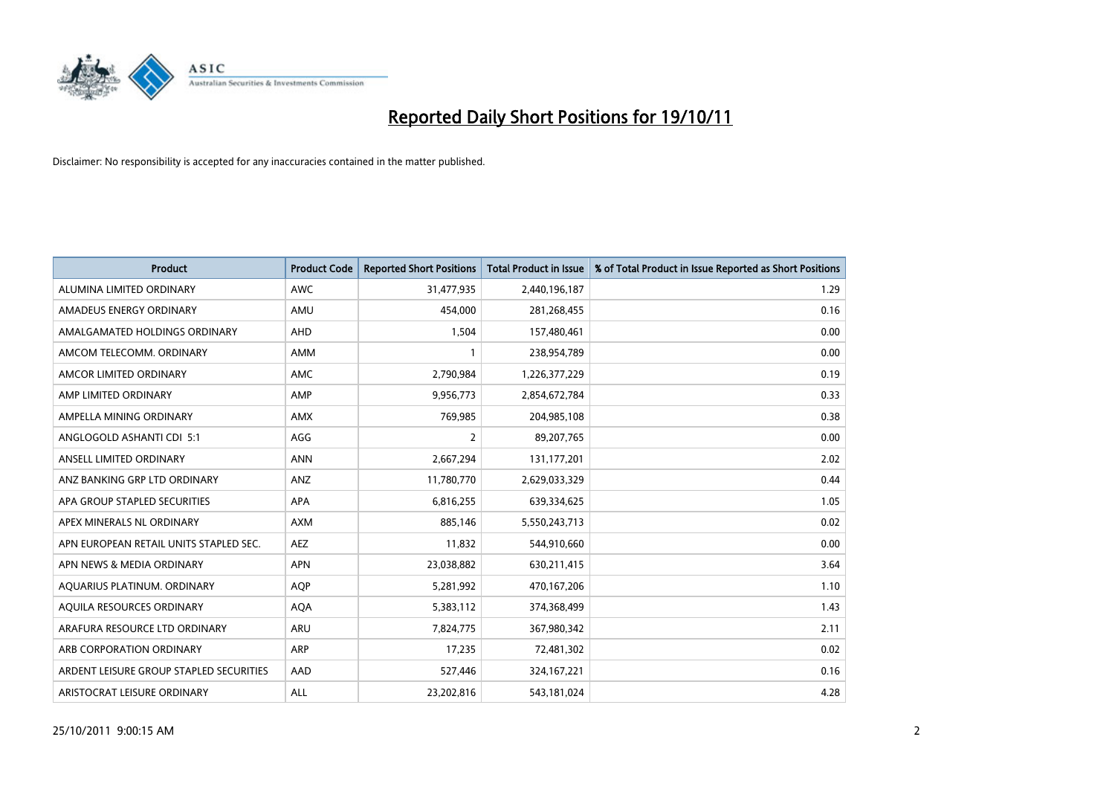

| <b>Product</b>                          | <b>Product Code</b> | <b>Reported Short Positions</b> | <b>Total Product in Issue</b> | % of Total Product in Issue Reported as Short Positions |
|-----------------------------------------|---------------------|---------------------------------|-------------------------------|---------------------------------------------------------|
| ALUMINA LIMITED ORDINARY                | <b>AWC</b>          | 31,477,935                      | 2,440,196,187                 | 1.29                                                    |
| AMADEUS ENERGY ORDINARY                 | AMU                 | 454,000                         | 281,268,455                   | 0.16                                                    |
| AMALGAMATED HOLDINGS ORDINARY           | <b>AHD</b>          | 1,504                           | 157,480,461                   | 0.00                                                    |
| AMCOM TELECOMM. ORDINARY                | <b>AMM</b>          |                                 | 238,954,789                   | 0.00                                                    |
| AMCOR LIMITED ORDINARY                  | <b>AMC</b>          | 2,790,984                       | 1,226,377,229                 | 0.19                                                    |
| AMP LIMITED ORDINARY                    | AMP                 | 9,956,773                       | 2,854,672,784                 | 0.33                                                    |
| AMPELLA MINING ORDINARY                 | <b>AMX</b>          | 769,985                         | 204,985,108                   | 0.38                                                    |
| ANGLOGOLD ASHANTI CDI 5:1               | AGG                 | 2                               | 89,207,765                    | 0.00                                                    |
| ANSELL LIMITED ORDINARY                 | <b>ANN</b>          | 2,667,294                       | 131,177,201                   | 2.02                                                    |
| ANZ BANKING GRP LTD ORDINARY            | ANZ                 | 11,780,770                      | 2,629,033,329                 | 0.44                                                    |
| APA GROUP STAPLED SECURITIES            | <b>APA</b>          | 6,816,255                       | 639,334,625                   | 1.05                                                    |
| APEX MINERALS NL ORDINARY               | <b>AXM</b>          | 885.146                         | 5,550,243,713                 | 0.02                                                    |
| APN EUROPEAN RETAIL UNITS STAPLED SEC.  | <b>AEZ</b>          | 11,832                          | 544,910,660                   | 0.00                                                    |
| APN NEWS & MEDIA ORDINARY               | <b>APN</b>          | 23,038,882                      | 630,211,415                   | 3.64                                                    |
| AQUARIUS PLATINUM. ORDINARY             | <b>AOP</b>          | 5,281,992                       | 470,167,206                   | 1.10                                                    |
| AQUILA RESOURCES ORDINARY               | <b>AQA</b>          | 5,383,112                       | 374,368,499                   | 1.43                                                    |
| ARAFURA RESOURCE LTD ORDINARY           | <b>ARU</b>          | 7,824,775                       | 367,980,342                   | 2.11                                                    |
| ARB CORPORATION ORDINARY                | <b>ARP</b>          | 17,235                          | 72,481,302                    | 0.02                                                    |
| ARDENT LEISURE GROUP STAPLED SECURITIES | AAD                 | 527,446                         | 324, 167, 221                 | 0.16                                                    |
| ARISTOCRAT LEISURE ORDINARY             | <b>ALL</b>          | 23,202,816                      | 543,181,024                   | 4.28                                                    |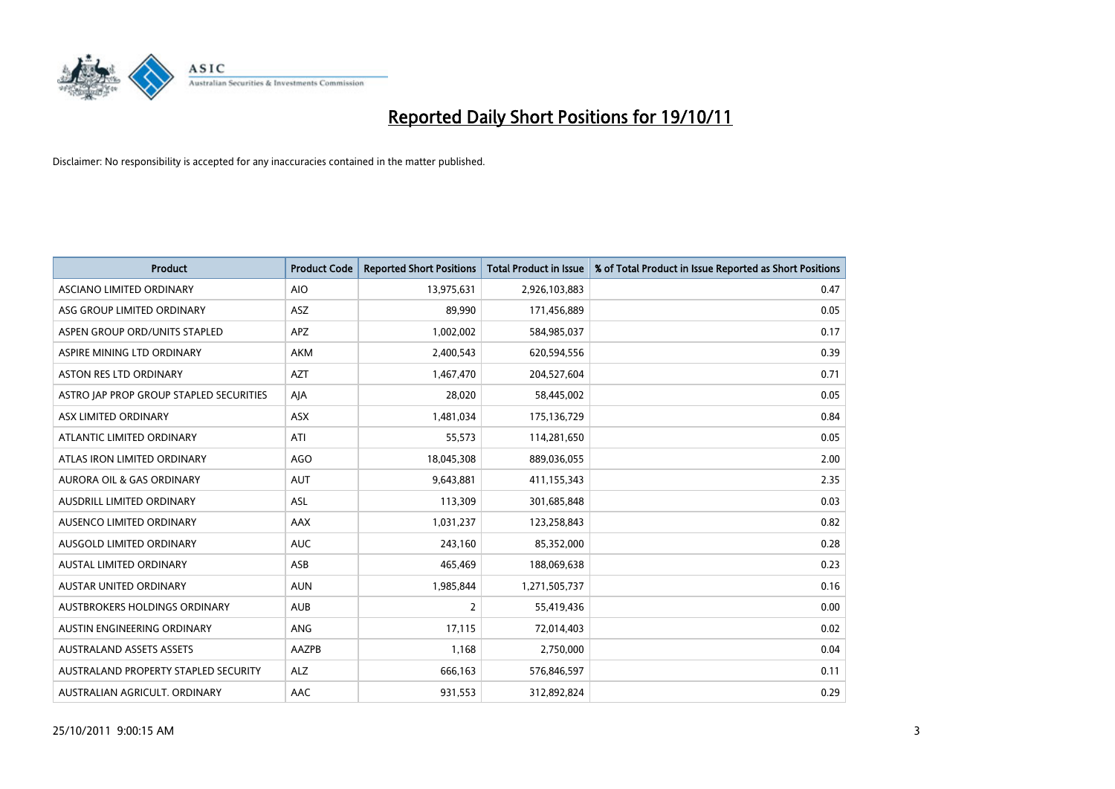

| <b>Product</b>                          | <b>Product Code</b> | <b>Reported Short Positions</b> | <b>Total Product in Issue</b> | % of Total Product in Issue Reported as Short Positions |
|-----------------------------------------|---------------------|---------------------------------|-------------------------------|---------------------------------------------------------|
| ASCIANO LIMITED ORDINARY                | <b>AIO</b>          | 13,975,631                      | 2,926,103,883                 | 0.47                                                    |
| ASG GROUP LIMITED ORDINARY              | <b>ASZ</b>          | 89,990                          | 171,456,889                   | 0.05                                                    |
| ASPEN GROUP ORD/UNITS STAPLED           | <b>APZ</b>          | 1,002,002                       | 584,985,037                   | 0.17                                                    |
| ASPIRE MINING LTD ORDINARY              | <b>AKM</b>          | 2,400,543                       | 620,594,556                   | 0.39                                                    |
| <b>ASTON RES LTD ORDINARY</b>           | <b>AZT</b>          | 1,467,470                       | 204,527,604                   | 0.71                                                    |
| ASTRO JAP PROP GROUP STAPLED SECURITIES | AJA                 | 28,020                          | 58,445,002                    | 0.05                                                    |
| ASX LIMITED ORDINARY                    | <b>ASX</b>          | 1,481,034                       | 175,136,729                   | 0.84                                                    |
| ATLANTIC LIMITED ORDINARY               | ATI                 | 55,573                          | 114,281,650                   | 0.05                                                    |
| ATLAS IRON LIMITED ORDINARY             | AGO                 | 18,045,308                      | 889,036,055                   | 2.00                                                    |
| <b>AURORA OIL &amp; GAS ORDINARY</b>    | <b>AUT</b>          | 9,643,881                       | 411,155,343                   | 2.35                                                    |
| AUSDRILL LIMITED ORDINARY               | ASL                 | 113,309                         | 301,685,848                   | 0.03                                                    |
| AUSENCO LIMITED ORDINARY                | AAX                 | 1,031,237                       | 123,258,843                   | 0.82                                                    |
| AUSGOLD LIMITED ORDINARY                | <b>AUC</b>          | 243,160                         | 85,352,000                    | 0.28                                                    |
| <b>AUSTAL LIMITED ORDINARY</b>          | ASB                 | 465,469                         | 188,069,638                   | 0.23                                                    |
| <b>AUSTAR UNITED ORDINARY</b>           | <b>AUN</b>          | 1,985,844                       | 1,271,505,737                 | 0.16                                                    |
| AUSTBROKERS HOLDINGS ORDINARY           | <b>AUB</b>          | $\overline{2}$                  | 55,419,436                    | 0.00                                                    |
| AUSTIN ENGINEERING ORDINARY             | ANG                 | 17,115                          | 72,014,403                    | 0.02                                                    |
| <b>AUSTRALAND ASSETS ASSETS</b>         | AAZPB               | 1,168                           | 2,750,000                     | 0.04                                                    |
| AUSTRALAND PROPERTY STAPLED SECURITY    | <b>ALZ</b>          | 666,163                         | 576,846,597                   | 0.11                                                    |
| AUSTRALIAN AGRICULT. ORDINARY           | AAC                 | 931,553                         | 312,892,824                   | 0.29                                                    |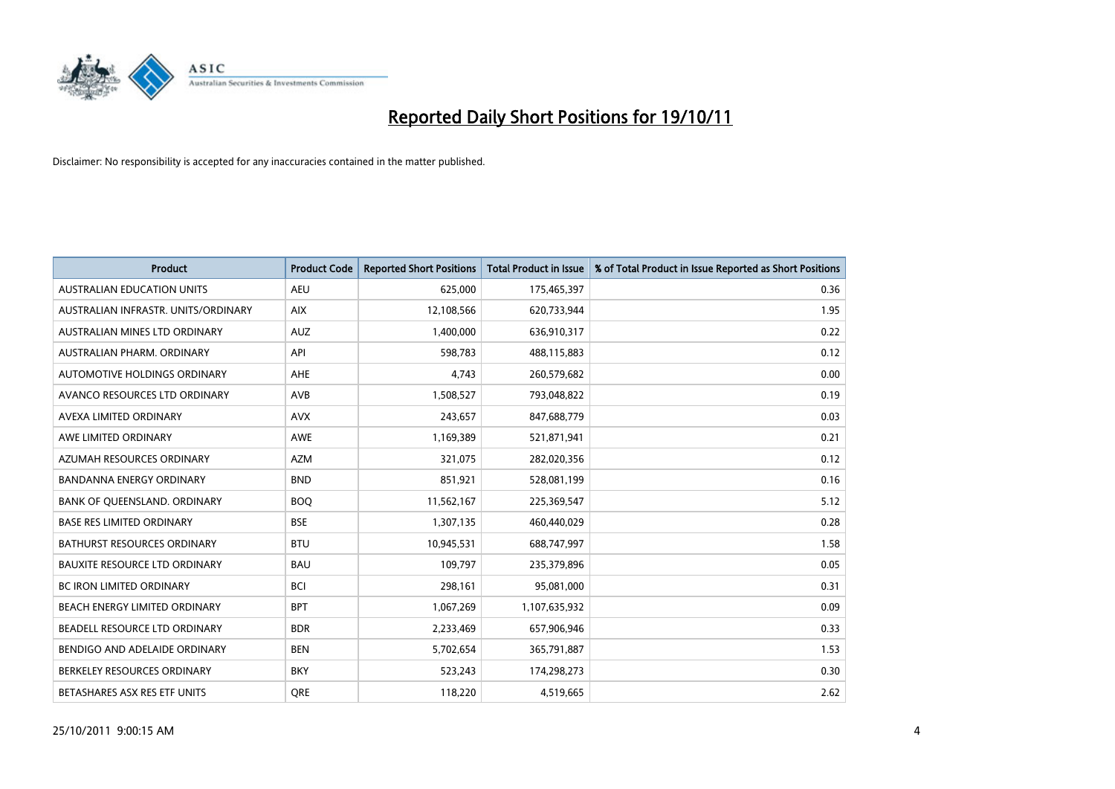

| <b>Product</b>                       | <b>Product Code</b> | <b>Reported Short Positions</b> | <b>Total Product in Issue</b> | % of Total Product in Issue Reported as Short Positions |
|--------------------------------------|---------------------|---------------------------------|-------------------------------|---------------------------------------------------------|
| <b>AUSTRALIAN EDUCATION UNITS</b>    | <b>AEU</b>          | 625,000                         | 175,465,397                   | 0.36                                                    |
| AUSTRALIAN INFRASTR. UNITS/ORDINARY  | <b>AIX</b>          | 12,108,566                      | 620,733,944                   | 1.95                                                    |
| AUSTRALIAN MINES LTD ORDINARY        | <b>AUZ</b>          | 1,400,000                       | 636,910,317                   | 0.22                                                    |
| AUSTRALIAN PHARM. ORDINARY           | API                 | 598,783                         | 488,115,883                   | 0.12                                                    |
| AUTOMOTIVE HOLDINGS ORDINARY         | <b>AHE</b>          | 4,743                           | 260,579,682                   | 0.00                                                    |
| AVANCO RESOURCES LTD ORDINARY        | <b>AVB</b>          | 1,508,527                       | 793,048,822                   | 0.19                                                    |
| AVEXA LIMITED ORDINARY               | <b>AVX</b>          | 243,657                         | 847,688,779                   | 0.03                                                    |
| AWE LIMITED ORDINARY                 | <b>AWE</b>          | 1,169,389                       | 521,871,941                   | 0.21                                                    |
| AZUMAH RESOURCES ORDINARY            | <b>AZM</b>          | 321,075                         | 282,020,356                   | 0.12                                                    |
| <b>BANDANNA ENERGY ORDINARY</b>      | <b>BND</b>          | 851,921                         | 528,081,199                   | 0.16                                                    |
| BANK OF QUEENSLAND. ORDINARY         | <b>BOQ</b>          | 11,562,167                      | 225,369,547                   | 5.12                                                    |
| <b>BASE RES LIMITED ORDINARY</b>     | <b>BSE</b>          | 1,307,135                       | 460,440,029                   | 0.28                                                    |
| BATHURST RESOURCES ORDINARY          | <b>BTU</b>          | 10,945,531                      | 688,747,997                   | 1.58                                                    |
| <b>BAUXITE RESOURCE LTD ORDINARY</b> | <b>BAU</b>          | 109,797                         | 235,379,896                   | 0.05                                                    |
| <b>BC IRON LIMITED ORDINARY</b>      | <b>BCI</b>          | 298,161                         | 95,081,000                    | 0.31                                                    |
| BEACH ENERGY LIMITED ORDINARY        | <b>BPT</b>          | 1,067,269                       | 1,107,635,932                 | 0.09                                                    |
| BEADELL RESOURCE LTD ORDINARY        | <b>BDR</b>          | 2,233,469                       | 657,906,946                   | 0.33                                                    |
| BENDIGO AND ADELAIDE ORDINARY        | <b>BEN</b>          | 5,702,654                       | 365,791,887                   | 1.53                                                    |
| BERKELEY RESOURCES ORDINARY          | <b>BKY</b>          | 523,243                         | 174,298,273                   | 0.30                                                    |
| BETASHARES ASX RES ETF UNITS         | <b>ORE</b>          | 118,220                         | 4,519,665                     | 2.62                                                    |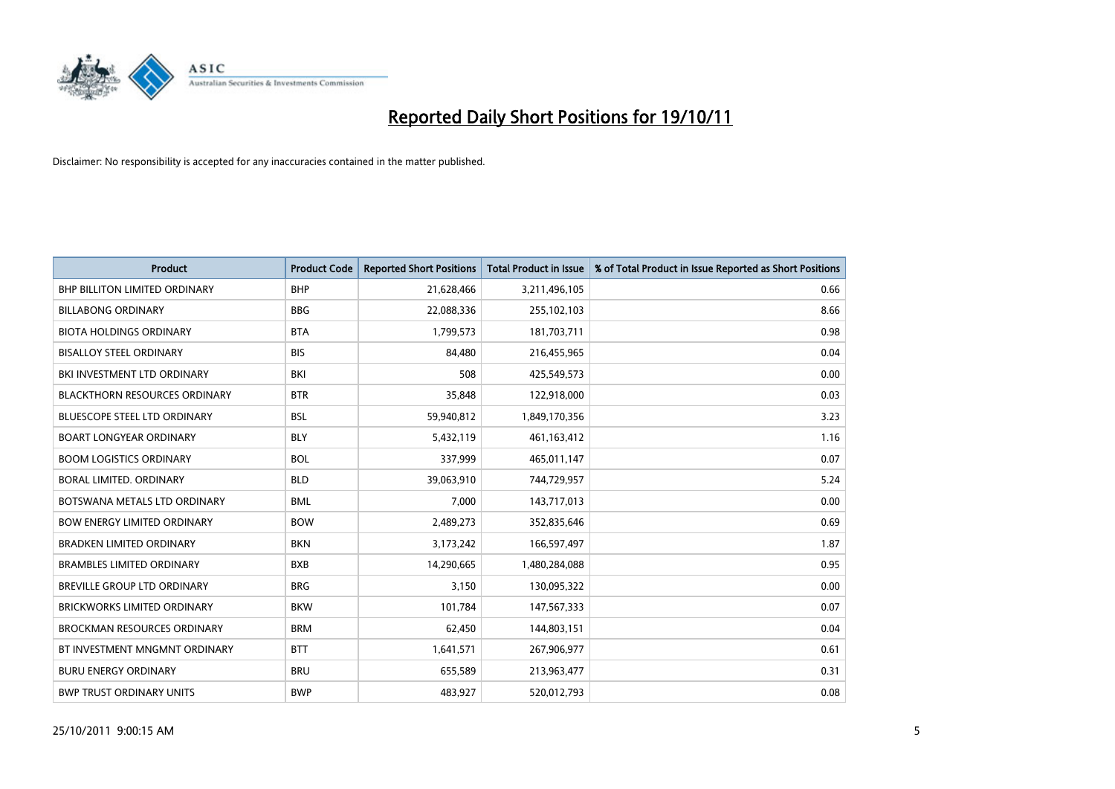

| <b>Product</b>                       | <b>Product Code</b> | <b>Reported Short Positions</b> | <b>Total Product in Issue</b> | % of Total Product in Issue Reported as Short Positions |
|--------------------------------------|---------------------|---------------------------------|-------------------------------|---------------------------------------------------------|
| <b>BHP BILLITON LIMITED ORDINARY</b> | <b>BHP</b>          | 21,628,466                      | 3,211,496,105                 | 0.66                                                    |
| <b>BILLABONG ORDINARY</b>            | <b>BBG</b>          | 22,088,336                      | 255,102,103                   | 8.66                                                    |
| <b>BIOTA HOLDINGS ORDINARY</b>       | <b>BTA</b>          | 1,799,573                       | 181,703,711                   | 0.98                                                    |
| <b>BISALLOY STEEL ORDINARY</b>       | <b>BIS</b>          | 84,480                          | 216,455,965                   | 0.04                                                    |
| BKI INVESTMENT LTD ORDINARY          | BKI                 | 508                             | 425,549,573                   | 0.00                                                    |
| <b>BLACKTHORN RESOURCES ORDINARY</b> | <b>BTR</b>          | 35,848                          | 122,918,000                   | 0.03                                                    |
| <b>BLUESCOPE STEEL LTD ORDINARY</b>  | <b>BSL</b>          | 59,940,812                      | 1,849,170,356                 | 3.23                                                    |
| <b>BOART LONGYEAR ORDINARY</b>       | <b>BLY</b>          | 5,432,119                       | 461,163,412                   | 1.16                                                    |
| <b>BOOM LOGISTICS ORDINARY</b>       | <b>BOL</b>          | 337,999                         | 465,011,147                   | 0.07                                                    |
| BORAL LIMITED, ORDINARY              | <b>BLD</b>          | 39,063,910                      | 744,729,957                   | 5.24                                                    |
| BOTSWANA METALS LTD ORDINARY         | <b>BML</b>          | 7,000                           | 143,717,013                   | 0.00                                                    |
| <b>BOW ENERGY LIMITED ORDINARY</b>   | <b>BOW</b>          | 2,489,273                       | 352,835,646                   | 0.69                                                    |
| <b>BRADKEN LIMITED ORDINARY</b>      | <b>BKN</b>          | 3,173,242                       | 166,597,497                   | 1.87                                                    |
| <b>BRAMBLES LIMITED ORDINARY</b>     | <b>BXB</b>          | 14,290,665                      | 1,480,284,088                 | 0.95                                                    |
| <b>BREVILLE GROUP LTD ORDINARY</b>   | <b>BRG</b>          | 3,150                           | 130,095,322                   | 0.00                                                    |
| BRICKWORKS LIMITED ORDINARY          | <b>BKW</b>          | 101,784                         | 147,567,333                   | 0.07                                                    |
| <b>BROCKMAN RESOURCES ORDINARY</b>   | <b>BRM</b>          | 62,450                          | 144,803,151                   | 0.04                                                    |
| BT INVESTMENT MNGMNT ORDINARY        | <b>BTT</b>          | 1,641,571                       | 267,906,977                   | 0.61                                                    |
| <b>BURU ENERGY ORDINARY</b>          | <b>BRU</b>          | 655,589                         | 213,963,477                   | 0.31                                                    |
| <b>BWP TRUST ORDINARY UNITS</b>      | <b>BWP</b>          | 483.927                         | 520,012,793                   | 0.08                                                    |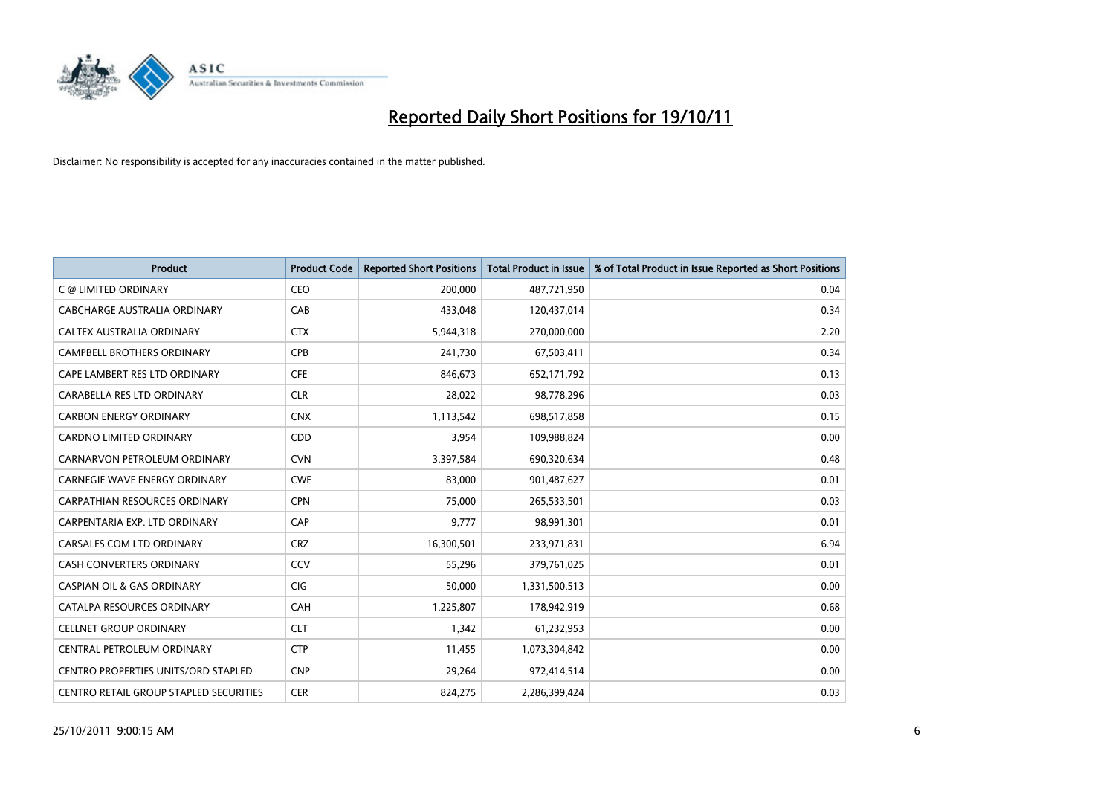

| <b>Product</b>                                | <b>Product Code</b> | <b>Reported Short Positions</b> | <b>Total Product in Issue</b> | % of Total Product in Issue Reported as Short Positions |
|-----------------------------------------------|---------------------|---------------------------------|-------------------------------|---------------------------------------------------------|
| C @ LIMITED ORDINARY                          | CEO                 | 200,000                         | 487,721,950                   | 0.04                                                    |
| CABCHARGE AUSTRALIA ORDINARY                  | CAB                 | 433,048                         | 120,437,014                   | 0.34                                                    |
| CALTEX AUSTRALIA ORDINARY                     | <b>CTX</b>          | 5,944,318                       | 270,000,000                   | 2.20                                                    |
| CAMPBELL BROTHERS ORDINARY                    | <b>CPB</b>          | 241,730                         | 67,503,411                    | 0.34                                                    |
| CAPE LAMBERT RES LTD ORDINARY                 | <b>CFE</b>          | 846.673                         | 652,171,792                   | 0.13                                                    |
| CARABELLA RES LTD ORDINARY                    | <b>CLR</b>          | 28,022                          | 98,778,296                    | 0.03                                                    |
| <b>CARBON ENERGY ORDINARY</b>                 | <b>CNX</b>          | 1,113,542                       | 698,517,858                   | 0.15                                                    |
| <b>CARDNO LIMITED ORDINARY</b>                | CDD                 | 3,954                           | 109,988,824                   | 0.00                                                    |
| CARNARVON PETROLEUM ORDINARY                  | <b>CVN</b>          | 3,397,584                       | 690,320,634                   | 0.48                                                    |
| <b>CARNEGIE WAVE ENERGY ORDINARY</b>          | <b>CWE</b>          | 83,000                          | 901,487,627                   | 0.01                                                    |
| <b>CARPATHIAN RESOURCES ORDINARY</b>          | <b>CPN</b>          | 75,000                          | 265,533,501                   | 0.03                                                    |
| CARPENTARIA EXP. LTD ORDINARY                 | CAP                 | 9.777                           | 98,991,301                    | 0.01                                                    |
| CARSALES.COM LTD ORDINARY                     | <b>CRZ</b>          | 16,300,501                      | 233,971,831                   | 6.94                                                    |
| <b>CASH CONVERTERS ORDINARY</b>               | CCV                 | 55,296                          | 379,761,025                   | 0.01                                                    |
| <b>CASPIAN OIL &amp; GAS ORDINARY</b>         | CIG                 | 50,000                          | 1,331,500,513                 | 0.00                                                    |
| CATALPA RESOURCES ORDINARY                    | CAH                 | 1,225,807                       | 178,942,919                   | 0.68                                                    |
| <b>CELLNET GROUP ORDINARY</b>                 | <b>CLT</b>          | 1,342                           | 61,232,953                    | 0.00                                                    |
| CENTRAL PETROLEUM ORDINARY                    | <b>CTP</b>          | 11,455                          | 1,073,304,842                 | 0.00                                                    |
| <b>CENTRO PROPERTIES UNITS/ORD STAPLED</b>    | <b>CNP</b>          | 29,264                          | 972,414,514                   | 0.00                                                    |
| <b>CENTRO RETAIL GROUP STAPLED SECURITIES</b> | <b>CER</b>          | 824.275                         | 2,286,399,424                 | 0.03                                                    |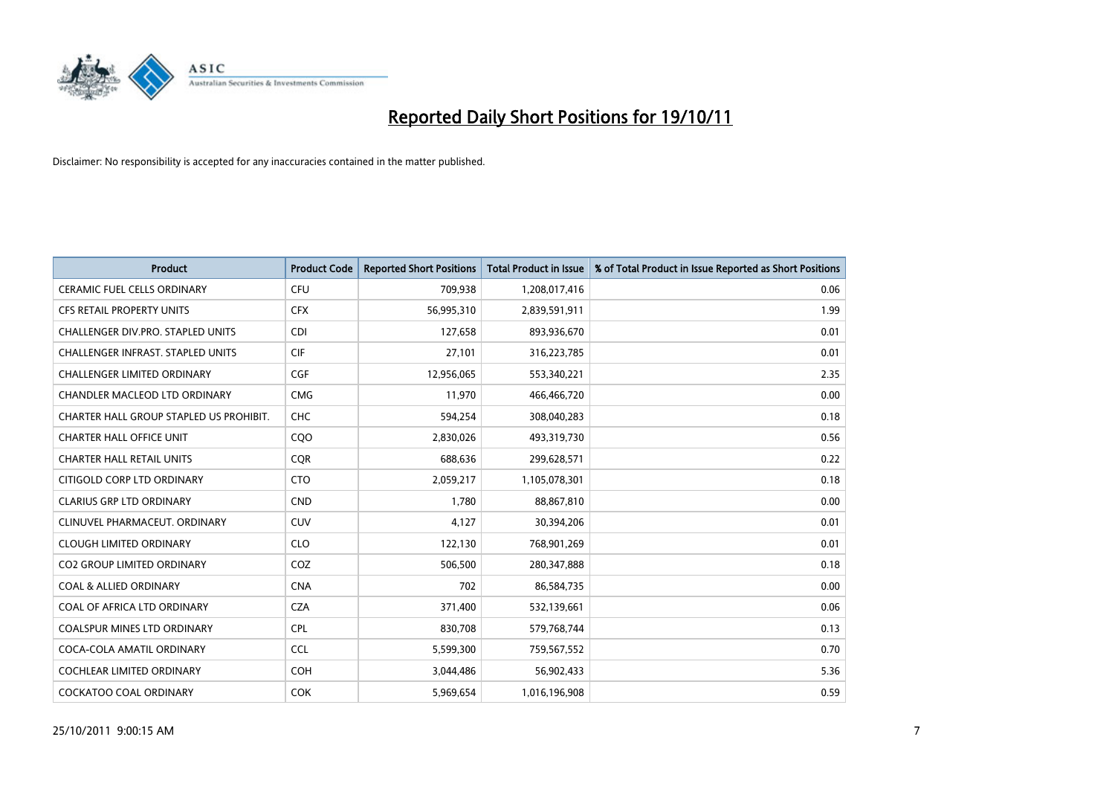

| <b>Product</b>                          | <b>Product Code</b> | <b>Reported Short Positions</b> | <b>Total Product in Issue</b> | % of Total Product in Issue Reported as Short Positions |
|-----------------------------------------|---------------------|---------------------------------|-------------------------------|---------------------------------------------------------|
| <b>CERAMIC FUEL CELLS ORDINARY</b>      | <b>CFU</b>          | 709,938                         | 1,208,017,416                 | 0.06                                                    |
| <b>CFS RETAIL PROPERTY UNITS</b>        | <b>CFX</b>          | 56,995,310                      | 2,839,591,911                 | 1.99                                                    |
| CHALLENGER DIV.PRO. STAPLED UNITS       | <b>CDI</b>          | 127,658                         | 893,936,670                   | 0.01                                                    |
| CHALLENGER INFRAST. STAPLED UNITS       | <b>CIF</b>          | 27,101                          | 316,223,785                   | 0.01                                                    |
| <b>CHALLENGER LIMITED ORDINARY</b>      | <b>CGF</b>          | 12,956,065                      | 553,340,221                   | 2.35                                                    |
| CHANDLER MACLEOD LTD ORDINARY           | <b>CMG</b>          | 11,970                          | 466,466,720                   | 0.00                                                    |
| CHARTER HALL GROUP STAPLED US PROHIBIT. | <b>CHC</b>          | 594,254                         | 308,040,283                   | 0.18                                                    |
| <b>CHARTER HALL OFFICE UNIT</b>         | CQ <sub>O</sub>     | 2,830,026                       | 493,319,730                   | 0.56                                                    |
| <b>CHARTER HALL RETAIL UNITS</b>        | <b>CQR</b>          | 688,636                         | 299,628,571                   | 0.22                                                    |
| CITIGOLD CORP LTD ORDINARY              | <b>CTO</b>          | 2,059,217                       | 1,105,078,301                 | 0.18                                                    |
| <b>CLARIUS GRP LTD ORDINARY</b>         | <b>CND</b>          | 1.780                           | 88,867,810                    | 0.00                                                    |
| CLINUVEL PHARMACEUT. ORDINARY           | <b>CUV</b>          | 4,127                           | 30,394,206                    | 0.01                                                    |
| <b>CLOUGH LIMITED ORDINARY</b>          | <b>CLO</b>          | 122,130                         | 768,901,269                   | 0.01                                                    |
| <b>CO2 GROUP LIMITED ORDINARY</b>       | COZ                 | 506.500                         | 280, 347, 888                 | 0.18                                                    |
| <b>COAL &amp; ALLIED ORDINARY</b>       | <b>CNA</b>          | 702                             | 86,584,735                    | 0.00                                                    |
| COAL OF AFRICA LTD ORDINARY             | <b>CZA</b>          | 371,400                         | 532,139,661                   | 0.06                                                    |
| <b>COALSPUR MINES LTD ORDINARY</b>      | <b>CPL</b>          | 830,708                         | 579,768,744                   | 0.13                                                    |
| COCA-COLA AMATIL ORDINARY               | <b>CCL</b>          | 5,599,300                       | 759,567,552                   | 0.70                                                    |
| <b>COCHLEAR LIMITED ORDINARY</b>        | <b>COH</b>          | 3,044,486                       | 56,902,433                    | 5.36                                                    |
| <b>COCKATOO COAL ORDINARY</b>           | <b>COK</b>          | 5.969.654                       | 1,016,196,908                 | 0.59                                                    |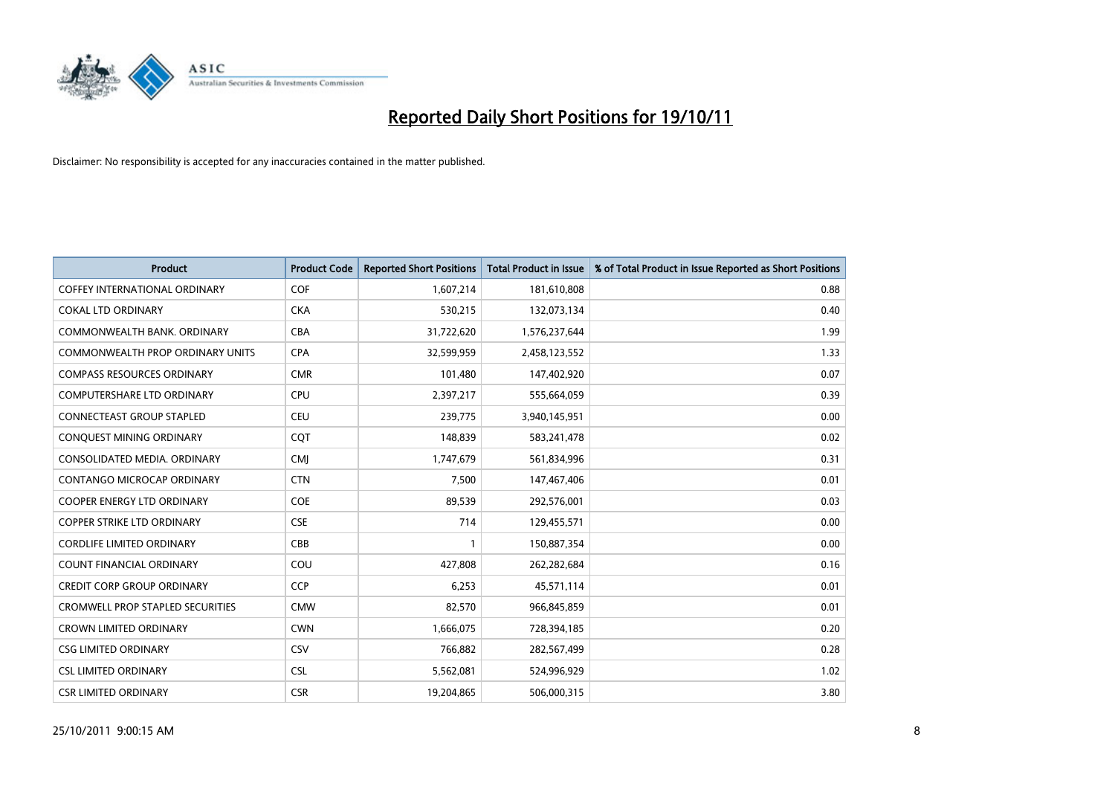

| <b>Product</b>                          | <b>Product Code</b> | <b>Reported Short Positions</b> | <b>Total Product in Issue</b> | % of Total Product in Issue Reported as Short Positions |
|-----------------------------------------|---------------------|---------------------------------|-------------------------------|---------------------------------------------------------|
| <b>COFFEY INTERNATIONAL ORDINARY</b>    | <b>COF</b>          | 1,607,214                       | 181,610,808                   | 0.88                                                    |
| <b>COKAL LTD ORDINARY</b>               | <b>CKA</b>          | 530,215                         | 132,073,134                   | 0.40                                                    |
| COMMONWEALTH BANK, ORDINARY             | CBA                 | 31,722,620                      | 1,576,237,644                 | 1.99                                                    |
| COMMONWEALTH PROP ORDINARY UNITS        | <b>CPA</b>          | 32,599,959                      | 2,458,123,552                 | 1.33                                                    |
| <b>COMPASS RESOURCES ORDINARY</b>       | <b>CMR</b>          | 101,480                         | 147,402,920                   | 0.07                                                    |
| COMPUTERSHARE LTD ORDINARY              | <b>CPU</b>          | 2,397,217                       | 555,664,059                   | 0.39                                                    |
| <b>CONNECTEAST GROUP STAPLED</b>        | <b>CEU</b>          | 239,775                         | 3,940,145,951                 | 0.00                                                    |
| CONQUEST MINING ORDINARY                | <b>CQT</b>          | 148,839                         | 583,241,478                   | 0.02                                                    |
| CONSOLIDATED MEDIA, ORDINARY            | <b>CMI</b>          | 1,747,679                       | 561,834,996                   | 0.31                                                    |
| <b>CONTANGO MICROCAP ORDINARY</b>       | <b>CTN</b>          | 7,500                           | 147,467,406                   | 0.01                                                    |
| <b>COOPER ENERGY LTD ORDINARY</b>       | <b>COE</b>          | 89,539                          | 292,576,001                   | 0.03                                                    |
| <b>COPPER STRIKE LTD ORDINARY</b>       | <b>CSE</b>          | 714                             | 129,455,571                   | 0.00                                                    |
| <b>CORDLIFE LIMITED ORDINARY</b>        | CBB                 |                                 | 150,887,354                   | 0.00                                                    |
| <b>COUNT FINANCIAL ORDINARY</b>         | COU                 | 427,808                         | 262,282,684                   | 0.16                                                    |
| <b>CREDIT CORP GROUP ORDINARY</b>       | <b>CCP</b>          | 6,253                           | 45,571,114                    | 0.01                                                    |
| <b>CROMWELL PROP STAPLED SECURITIES</b> | <b>CMW</b>          | 82,570                          | 966,845,859                   | 0.01                                                    |
| <b>CROWN LIMITED ORDINARY</b>           | <b>CWN</b>          | 1,666,075                       | 728,394,185                   | 0.20                                                    |
| <b>CSG LIMITED ORDINARY</b>             | CSV                 | 766,882                         | 282,567,499                   | 0.28                                                    |
| <b>CSL LIMITED ORDINARY</b>             | <b>CSL</b>          | 5,562,081                       | 524,996,929                   | 1.02                                                    |
| <b>CSR LIMITED ORDINARY</b>             | <b>CSR</b>          | 19.204.865                      | 506,000,315                   | 3.80                                                    |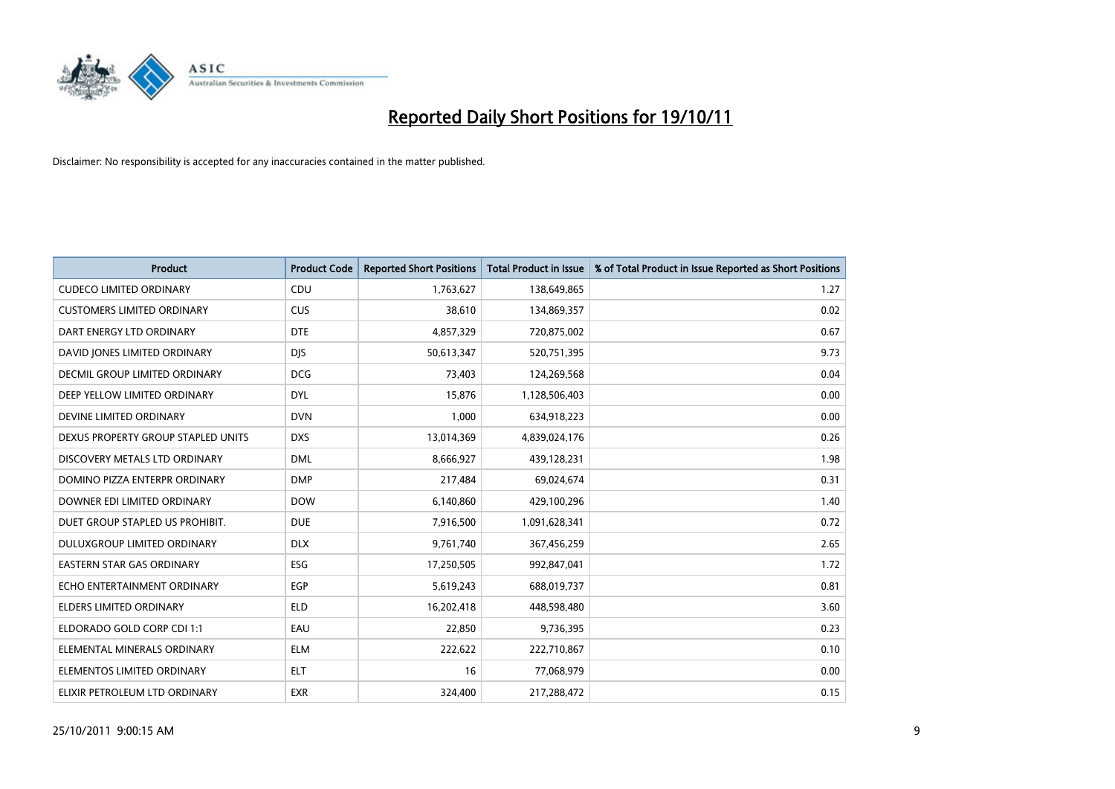

| <b>Product</b>                     | <b>Product Code</b> | <b>Reported Short Positions</b> | <b>Total Product in Issue</b> | % of Total Product in Issue Reported as Short Positions |
|------------------------------------|---------------------|---------------------------------|-------------------------------|---------------------------------------------------------|
| <b>CUDECO LIMITED ORDINARY</b>     | CDU                 | 1,763,627                       | 138,649,865                   | 1.27                                                    |
| <b>CUSTOMERS LIMITED ORDINARY</b>  | <b>CUS</b>          | 38,610                          | 134,869,357                   | 0.02                                                    |
| DART ENERGY LTD ORDINARY           | <b>DTE</b>          | 4,857,329                       | 720,875,002                   | 0.67                                                    |
| DAVID JONES LIMITED ORDINARY       | <b>DJS</b>          | 50,613,347                      | 520,751,395                   | 9.73                                                    |
| DECMIL GROUP LIMITED ORDINARY      | <b>DCG</b>          | 73,403                          | 124,269,568                   | 0.04                                                    |
| DEEP YELLOW LIMITED ORDINARY       | <b>DYL</b>          | 15,876                          | 1,128,506,403                 | 0.00                                                    |
| DEVINE LIMITED ORDINARY            | <b>DVN</b>          | 1,000                           | 634,918,223                   | 0.00                                                    |
| DEXUS PROPERTY GROUP STAPLED UNITS | <b>DXS</b>          | 13,014,369                      | 4,839,024,176                 | 0.26                                                    |
| DISCOVERY METALS LTD ORDINARY      | <b>DML</b>          | 8,666,927                       | 439,128,231                   | 1.98                                                    |
| DOMINO PIZZA ENTERPR ORDINARY      | <b>DMP</b>          | 217,484                         | 69,024,674                    | 0.31                                                    |
| DOWNER EDI LIMITED ORDINARY        | <b>DOW</b>          | 6,140,860                       | 429,100,296                   | 1.40                                                    |
| DUET GROUP STAPLED US PROHIBIT.    | <b>DUE</b>          | 7,916,500                       | 1,091,628,341                 | 0.72                                                    |
| DULUXGROUP LIMITED ORDINARY        | <b>DLX</b>          | 9,761,740                       | 367,456,259                   | 2.65                                                    |
| EASTERN STAR GAS ORDINARY          | ESG                 | 17,250,505                      | 992,847,041                   | 1.72                                                    |
| ECHO ENTERTAINMENT ORDINARY        | EGP                 | 5,619,243                       | 688,019,737                   | 0.81                                                    |
| ELDERS LIMITED ORDINARY            | <b>ELD</b>          | 16,202,418                      | 448,598,480                   | 3.60                                                    |
| ELDORADO GOLD CORP CDI 1:1         | EAU                 | 22,850                          | 9,736,395                     | 0.23                                                    |
| ELEMENTAL MINERALS ORDINARY        | <b>ELM</b>          | 222,622                         | 222,710,867                   | 0.10                                                    |
| ELEMENTOS LIMITED ORDINARY         | <b>ELT</b>          | 16                              | 77,068,979                    | 0.00                                                    |
| ELIXIR PETROLEUM LTD ORDINARY      | <b>EXR</b>          | 324,400                         | 217,288,472                   | 0.15                                                    |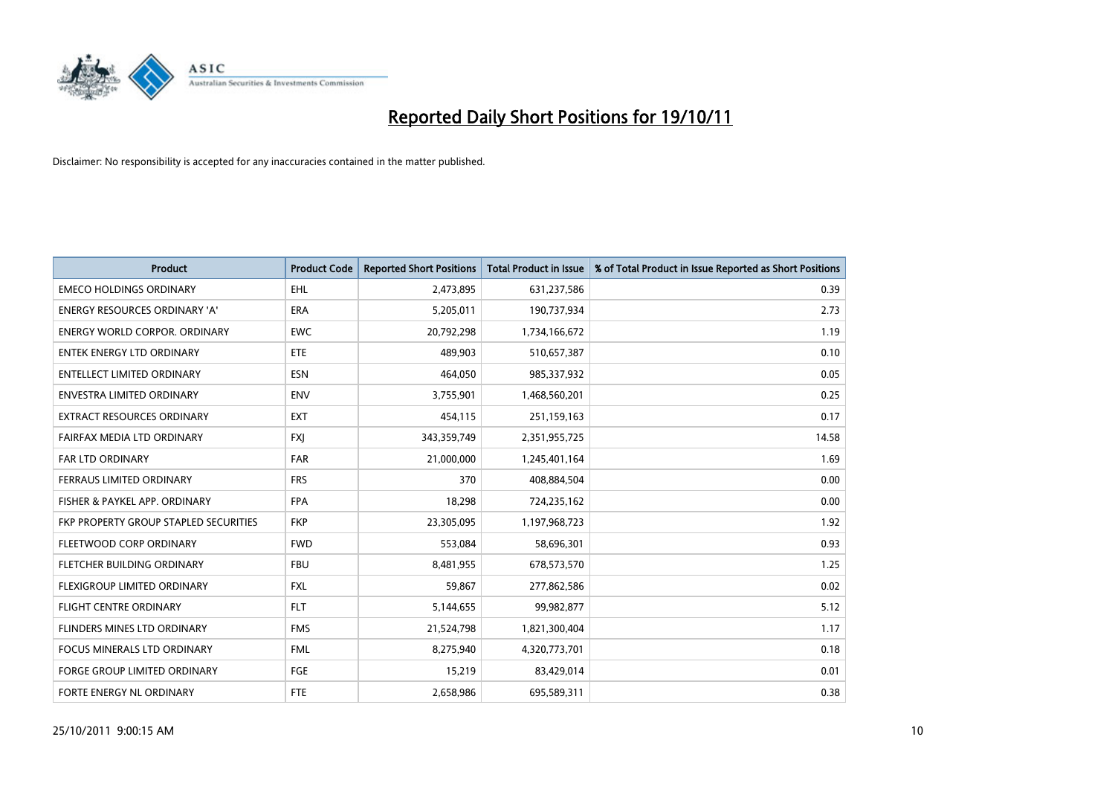

| <b>Product</b>                        | <b>Product Code</b> | <b>Reported Short Positions</b> | <b>Total Product in Issue</b> | % of Total Product in Issue Reported as Short Positions |
|---------------------------------------|---------------------|---------------------------------|-------------------------------|---------------------------------------------------------|
| <b>EMECO HOLDINGS ORDINARY</b>        | <b>EHL</b>          | 2,473,895                       | 631,237,586                   | 0.39                                                    |
| ENERGY RESOURCES ORDINARY 'A'         | <b>ERA</b>          | 5,205,011                       | 190,737,934                   | 2.73                                                    |
| <b>ENERGY WORLD CORPOR, ORDINARY</b>  | <b>EWC</b>          | 20,792,298                      | 1,734,166,672                 | 1.19                                                    |
| ENTEK ENERGY LTD ORDINARY             | <b>ETE</b>          | 489,903                         | 510,657,387                   | 0.10                                                    |
| <b>ENTELLECT LIMITED ORDINARY</b>     | <b>ESN</b>          | 464,050                         | 985,337,932                   | 0.05                                                    |
| <b>ENVESTRA LIMITED ORDINARY</b>      | <b>ENV</b>          | 3,755,901                       | 1,468,560,201                 | 0.25                                                    |
| <b>EXTRACT RESOURCES ORDINARY</b>     | <b>EXT</b>          | 454,115                         | 251,159,163                   | 0.17                                                    |
| FAIRFAX MEDIA LTD ORDINARY            | <b>FXI</b>          | 343,359,749                     | 2,351,955,725                 | 14.58                                                   |
| <b>FAR LTD ORDINARY</b>               | <b>FAR</b>          | 21,000,000                      | 1,245,401,164                 | 1.69                                                    |
| FERRAUS LIMITED ORDINARY              | <b>FRS</b>          | 370                             | 408,884,504                   | 0.00                                                    |
| FISHER & PAYKEL APP. ORDINARY         | <b>FPA</b>          | 18,298                          | 724,235,162                   | 0.00                                                    |
| FKP PROPERTY GROUP STAPLED SECURITIES | <b>FKP</b>          | 23,305,095                      | 1,197,968,723                 | 1.92                                                    |
| FLEETWOOD CORP ORDINARY               | <b>FWD</b>          | 553,084                         | 58,696,301                    | 0.93                                                    |
| FLETCHER BUILDING ORDINARY            | <b>FBU</b>          | 8,481,955                       | 678,573,570                   | 1.25                                                    |
| <b>FLEXIGROUP LIMITED ORDINARY</b>    | <b>FXL</b>          | 59,867                          | 277,862,586                   | 0.02                                                    |
| FLIGHT CENTRE ORDINARY                | <b>FLT</b>          | 5,144,655                       | 99,982,877                    | 5.12                                                    |
| FLINDERS MINES LTD ORDINARY           | <b>FMS</b>          | 21,524,798                      | 1,821,300,404                 | 1.17                                                    |
| FOCUS MINERALS LTD ORDINARY           | <b>FML</b>          | 8,275,940                       | 4,320,773,701                 | 0.18                                                    |
| <b>FORGE GROUP LIMITED ORDINARY</b>   | FGE                 | 15,219                          | 83,429,014                    | 0.01                                                    |
| FORTE ENERGY NL ORDINARY              | <b>FTE</b>          | 2,658,986                       | 695,589,311                   | 0.38                                                    |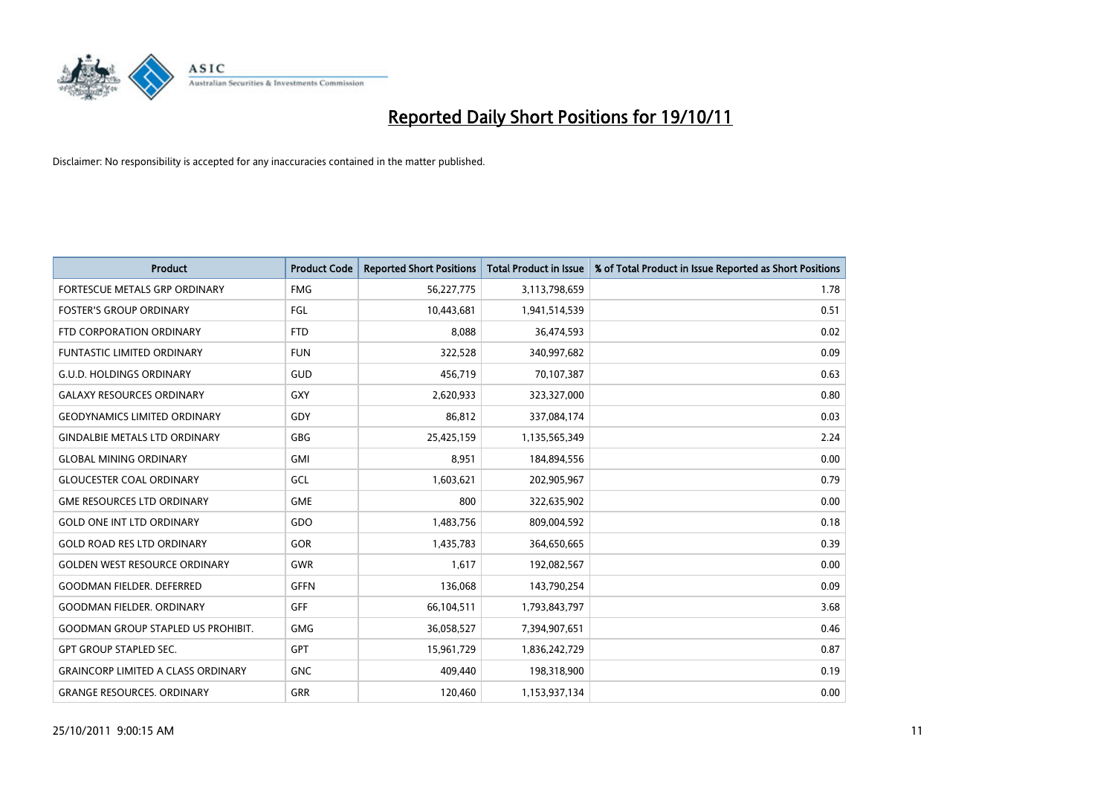

| <b>Product</b>                            | <b>Product Code</b> | <b>Reported Short Positions</b> | <b>Total Product in Issue</b> | % of Total Product in Issue Reported as Short Positions |
|-------------------------------------------|---------------------|---------------------------------|-------------------------------|---------------------------------------------------------|
| <b>FORTESCUE METALS GRP ORDINARY</b>      | <b>FMG</b>          | 56,227,775                      | 3,113,798,659                 | 1.78                                                    |
| <b>FOSTER'S GROUP ORDINARY</b>            | FGL                 | 10,443,681                      | 1,941,514,539                 | 0.51                                                    |
| FTD CORPORATION ORDINARY                  | <b>FTD</b>          | 8,088                           | 36,474,593                    | 0.02                                                    |
| FUNTASTIC LIMITED ORDINARY                | <b>FUN</b>          | 322,528                         | 340,997,682                   | 0.09                                                    |
| <b>G.U.D. HOLDINGS ORDINARY</b>           | <b>GUD</b>          | 456,719                         | 70,107,387                    | 0.63                                                    |
| <b>GALAXY RESOURCES ORDINARY</b>          | <b>GXY</b>          | 2,620,933                       | 323,327,000                   | 0.80                                                    |
| <b>GEODYNAMICS LIMITED ORDINARY</b>       | GDY                 | 86.812                          | 337,084,174                   | 0.03                                                    |
| <b>GINDALBIE METALS LTD ORDINARY</b>      | <b>GBG</b>          | 25,425,159                      | 1,135,565,349                 | 2.24                                                    |
| <b>GLOBAL MINING ORDINARY</b>             | <b>GMI</b>          | 8,951                           | 184,894,556                   | 0.00                                                    |
| <b>GLOUCESTER COAL ORDINARY</b>           | GCL                 | 1,603,621                       | 202,905,967                   | 0.79                                                    |
| <b>GME RESOURCES LTD ORDINARY</b>         | <b>GME</b>          | 800                             | 322,635,902                   | 0.00                                                    |
| <b>GOLD ONE INT LTD ORDINARY</b>          | GDO                 | 1,483,756                       | 809,004,592                   | 0.18                                                    |
| <b>GOLD ROAD RES LTD ORDINARY</b>         | <b>GOR</b>          | 1,435,783                       | 364,650,665                   | 0.39                                                    |
| <b>GOLDEN WEST RESOURCE ORDINARY</b>      | <b>GWR</b>          | 1.617                           | 192,082,567                   | 0.00                                                    |
| <b>GOODMAN FIELDER. DEFERRED</b>          | <b>GFFN</b>         | 136,068                         | 143,790,254                   | 0.09                                                    |
| <b>GOODMAN FIELDER, ORDINARY</b>          | GFF                 | 66,104,511                      | 1,793,843,797                 | 3.68                                                    |
| <b>GOODMAN GROUP STAPLED US PROHIBIT.</b> | <b>GMG</b>          | 36,058,527                      | 7,394,907,651                 | 0.46                                                    |
| <b>GPT GROUP STAPLED SEC.</b>             | <b>GPT</b>          | 15,961,729                      | 1,836,242,729                 | 0.87                                                    |
| <b>GRAINCORP LIMITED A CLASS ORDINARY</b> | <b>GNC</b>          | 409,440                         | 198,318,900                   | 0.19                                                    |
| <b>GRANGE RESOURCES, ORDINARY</b>         | <b>GRR</b>          | 120.460                         | 1,153,937,134                 | 0.00                                                    |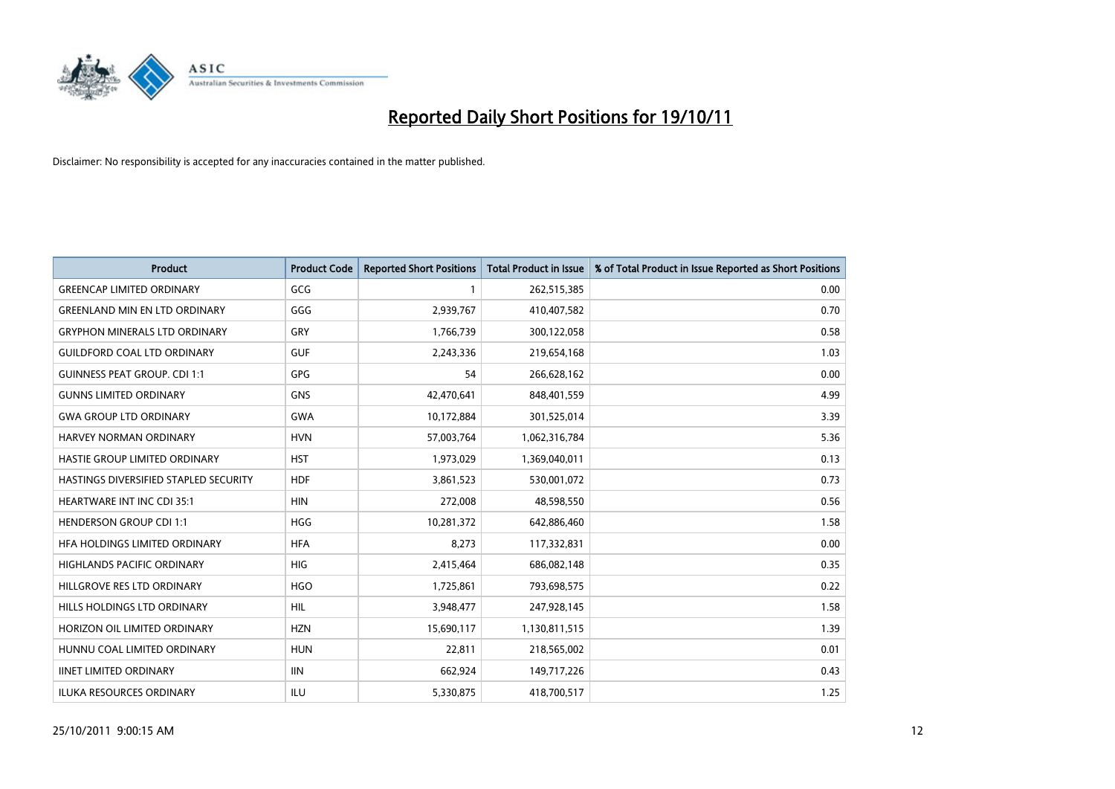

| <b>Product</b>                        | <b>Product Code</b> | <b>Reported Short Positions</b> | <b>Total Product in Issue</b> | % of Total Product in Issue Reported as Short Positions |
|---------------------------------------|---------------------|---------------------------------|-------------------------------|---------------------------------------------------------|
| <b>GREENCAP LIMITED ORDINARY</b>      | GCG                 |                                 | 262,515,385                   | 0.00                                                    |
| <b>GREENLAND MIN EN LTD ORDINARY</b>  | GGG                 | 2,939,767                       | 410,407,582                   | 0.70                                                    |
| <b>GRYPHON MINERALS LTD ORDINARY</b>  | GRY                 | 1,766,739                       | 300,122,058                   | 0.58                                                    |
| <b>GUILDFORD COAL LTD ORDINARY</b>    | <b>GUF</b>          | 2,243,336                       | 219,654,168                   | 1.03                                                    |
| <b>GUINNESS PEAT GROUP. CDI 1:1</b>   | <b>GPG</b>          | 54                              | 266,628,162                   | 0.00                                                    |
| <b>GUNNS LIMITED ORDINARY</b>         | <b>GNS</b>          | 42,470,641                      | 848,401,559                   | 4.99                                                    |
| <b>GWA GROUP LTD ORDINARY</b>         | <b>GWA</b>          | 10,172,884                      | 301,525,014                   | 3.39                                                    |
| HARVEY NORMAN ORDINARY                | <b>HVN</b>          | 57,003,764                      | 1,062,316,784                 | 5.36                                                    |
| HASTIE GROUP LIMITED ORDINARY         | <b>HST</b>          | 1,973,029                       | 1,369,040,011                 | 0.13                                                    |
| HASTINGS DIVERSIFIED STAPLED SECURITY | <b>HDF</b>          | 3,861,523                       | 530,001,072                   | 0.73                                                    |
| HEARTWARE INT INC CDI 35:1            | <b>HIN</b>          | 272,008                         | 48,598,550                    | 0.56                                                    |
| <b>HENDERSON GROUP CDI 1:1</b>        | <b>HGG</b>          | 10,281,372                      | 642,886,460                   | 1.58                                                    |
| HFA HOLDINGS LIMITED ORDINARY         | <b>HFA</b>          | 8,273                           | 117,332,831                   | 0.00                                                    |
| <b>HIGHLANDS PACIFIC ORDINARY</b>     | HIG                 | 2,415,464                       | 686,082,148                   | 0.35                                                    |
| HILLGROVE RES LTD ORDINARY            | <b>HGO</b>          | 1,725,861                       | 793,698,575                   | 0.22                                                    |
| HILLS HOLDINGS LTD ORDINARY           | HIL                 | 3,948,477                       | 247,928,145                   | 1.58                                                    |
| HORIZON OIL LIMITED ORDINARY          | <b>HZN</b>          | 15,690,117                      | 1,130,811,515                 | 1.39                                                    |
| HUNNU COAL LIMITED ORDINARY           | <b>HUN</b>          | 22,811                          | 218,565,002                   | 0.01                                                    |
| <b>IINET LIMITED ORDINARY</b>         | <b>IIN</b>          | 662,924                         | 149,717,226                   | 0.43                                                    |
| ILUKA RESOURCES ORDINARY              | ILU                 | 5,330,875                       | 418,700,517                   | 1.25                                                    |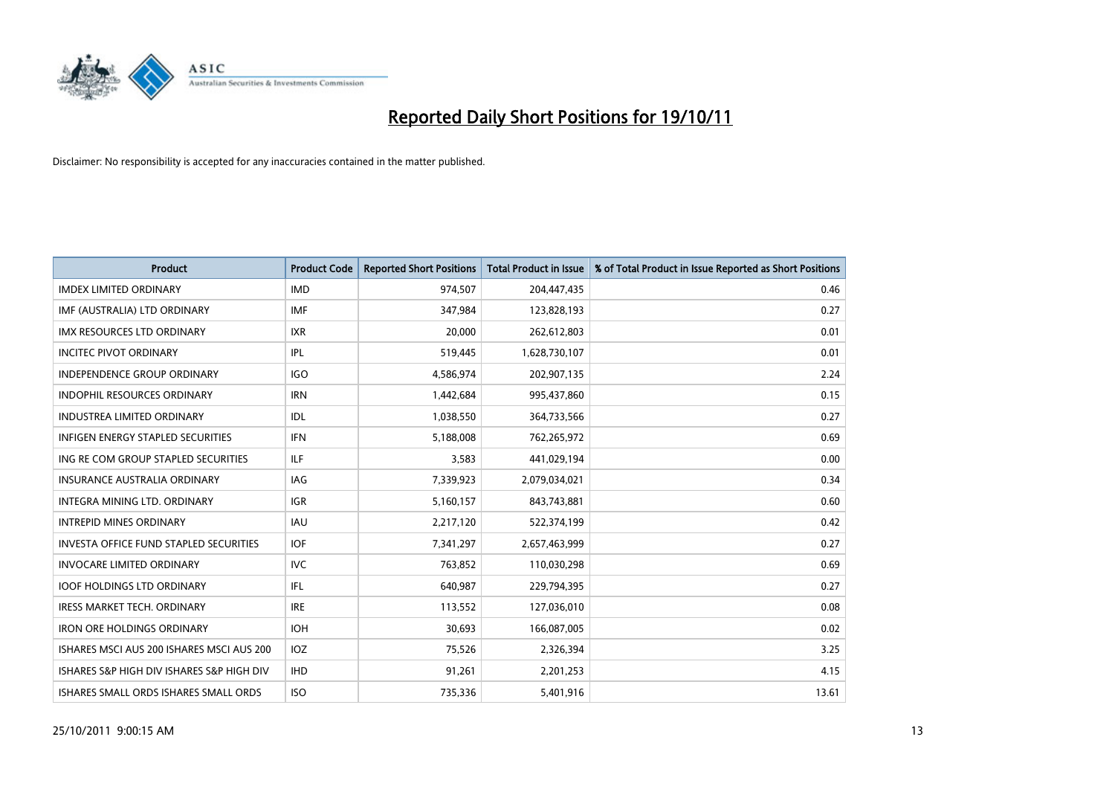

| <b>Product</b>                                | <b>Product Code</b> | <b>Reported Short Positions</b> | <b>Total Product in Issue</b> | % of Total Product in Issue Reported as Short Positions |
|-----------------------------------------------|---------------------|---------------------------------|-------------------------------|---------------------------------------------------------|
| <b>IMDEX LIMITED ORDINARY</b>                 | <b>IMD</b>          | 974,507                         | 204,447,435                   | 0.46                                                    |
| IMF (AUSTRALIA) LTD ORDINARY                  | <b>IMF</b>          | 347,984                         | 123,828,193                   | 0.27                                                    |
| <b>IMX RESOURCES LTD ORDINARY</b>             | <b>IXR</b>          | 20,000                          | 262,612,803                   | 0.01                                                    |
| <b>INCITEC PIVOT ORDINARY</b>                 | <b>IPL</b>          | 519,445                         | 1,628,730,107                 | 0.01                                                    |
| <b>INDEPENDENCE GROUP ORDINARY</b>            | <b>IGO</b>          | 4,586,974                       | 202,907,135                   | 2.24                                                    |
| INDOPHIL RESOURCES ORDINARY                   | <b>IRN</b>          | 1,442,684                       | 995,437,860                   | 0.15                                                    |
| <b>INDUSTREA LIMITED ORDINARY</b>             | <b>IDL</b>          | 1,038,550                       | 364,733,566                   | 0.27                                                    |
| <b>INFIGEN ENERGY STAPLED SECURITIES</b>      | <b>IFN</b>          | 5,188,008                       | 762,265,972                   | 0.69                                                    |
| ING RE COM GROUP STAPLED SECURITIES           | <b>ILF</b>          | 3,583                           | 441,029,194                   | 0.00                                                    |
| <b>INSURANCE AUSTRALIA ORDINARY</b>           | IAG                 | 7,339,923                       | 2,079,034,021                 | 0.34                                                    |
| <b>INTEGRA MINING LTD, ORDINARY</b>           | <b>IGR</b>          | 5,160,157                       | 843,743,881                   | 0.60                                                    |
| <b>INTREPID MINES ORDINARY</b>                | <b>IAU</b>          | 2,217,120                       | 522,374,199                   | 0.42                                                    |
| <b>INVESTA OFFICE FUND STAPLED SECURITIES</b> | <b>IOF</b>          | 7,341,297                       | 2,657,463,999                 | 0.27                                                    |
| <b>INVOCARE LIMITED ORDINARY</b>              | <b>IVC</b>          | 763,852                         | 110,030,298                   | 0.69                                                    |
| <b>IOOF HOLDINGS LTD ORDINARY</b>             | <b>IFL</b>          | 640,987                         | 229,794,395                   | 0.27                                                    |
| <b>IRESS MARKET TECH. ORDINARY</b>            | <b>IRE</b>          | 113,552                         | 127,036,010                   | 0.08                                                    |
| <b>IRON ORE HOLDINGS ORDINARY</b>             | <b>IOH</b>          | 30,693                          | 166,087,005                   | 0.02                                                    |
| ISHARES MSCI AUS 200 ISHARES MSCI AUS 200     | IOZ                 | 75,526                          | 2,326,394                     | 3.25                                                    |
| ISHARES S&P HIGH DIV ISHARES S&P HIGH DIV     | <b>IHD</b>          | 91,261                          | 2,201,253                     | 4.15                                                    |
| ISHARES SMALL ORDS ISHARES SMALL ORDS         | <b>ISO</b>          | 735,336                         | 5,401,916                     | 13.61                                                   |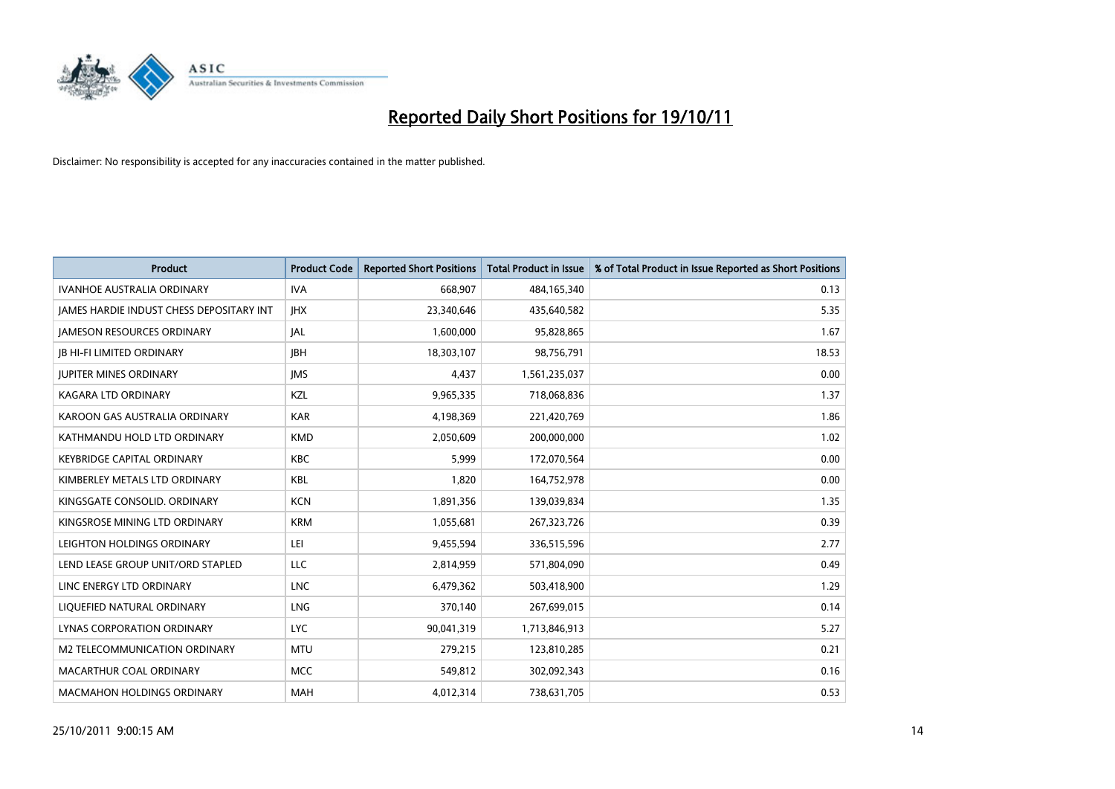

| <b>Product</b>                           | <b>Product Code</b> | <b>Reported Short Positions</b> | <b>Total Product in Issue</b> | % of Total Product in Issue Reported as Short Positions |
|------------------------------------------|---------------------|---------------------------------|-------------------------------|---------------------------------------------------------|
| <b>IVANHOE AUSTRALIA ORDINARY</b>        | <b>IVA</b>          | 668,907                         | 484,165,340                   | 0.13                                                    |
| JAMES HARDIE INDUST CHESS DEPOSITARY INT | <b>IHX</b>          | 23,340,646                      | 435,640,582                   | 5.35                                                    |
| <b>JAMESON RESOURCES ORDINARY</b>        | <b>JAL</b>          | 1,600,000                       | 95,828,865                    | 1.67                                                    |
| <b>IB HI-FI LIMITED ORDINARY</b>         | <b>IBH</b>          | 18,303,107                      | 98,756,791                    | 18.53                                                   |
| <b>IUPITER MINES ORDINARY</b>            | <b>IMS</b>          | 4,437                           | 1,561,235,037                 | 0.00                                                    |
| <b>KAGARA LTD ORDINARY</b>               | KZL                 | 9,965,335                       | 718,068,836                   | 1.37                                                    |
| KAROON GAS AUSTRALIA ORDINARY            | <b>KAR</b>          | 4,198,369                       | 221,420,769                   | 1.86                                                    |
| KATHMANDU HOLD LTD ORDINARY              | <b>KMD</b>          | 2,050,609                       | 200,000,000                   | 1.02                                                    |
| KEYBRIDGE CAPITAL ORDINARY               | <b>KBC</b>          | 5,999                           | 172,070,564                   | 0.00                                                    |
| KIMBERLEY METALS LTD ORDINARY            | <b>KBL</b>          | 1,820                           | 164,752,978                   | 0.00                                                    |
| KINGSGATE CONSOLID. ORDINARY             | <b>KCN</b>          | 1,891,356                       | 139,039,834                   | 1.35                                                    |
| KINGSROSE MINING LTD ORDINARY            | <b>KRM</b>          | 1,055,681                       | 267,323,726                   | 0.39                                                    |
| LEIGHTON HOLDINGS ORDINARY               | LEI                 | 9,455,594                       | 336,515,596                   | 2.77                                                    |
| LEND LEASE GROUP UNIT/ORD STAPLED        | LLC                 | 2,814,959                       | 571,804,090                   | 0.49                                                    |
| LINC ENERGY LTD ORDINARY                 | <b>LNC</b>          | 6,479,362                       | 503,418,900                   | 1.29                                                    |
| LIQUEFIED NATURAL ORDINARY               | <b>LNG</b>          | 370,140                         | 267,699,015                   | 0.14                                                    |
| <b>LYNAS CORPORATION ORDINARY</b>        | <b>LYC</b>          | 90,041,319                      | 1,713,846,913                 | 5.27                                                    |
| M2 TELECOMMUNICATION ORDINARY            | <b>MTU</b>          | 279,215                         | 123,810,285                   | 0.21                                                    |
| MACARTHUR COAL ORDINARY                  | <b>MCC</b>          | 549,812                         | 302,092,343                   | 0.16                                                    |
| <b>MACMAHON HOLDINGS ORDINARY</b>        | <b>MAH</b>          | 4,012,314                       | 738,631,705                   | 0.53                                                    |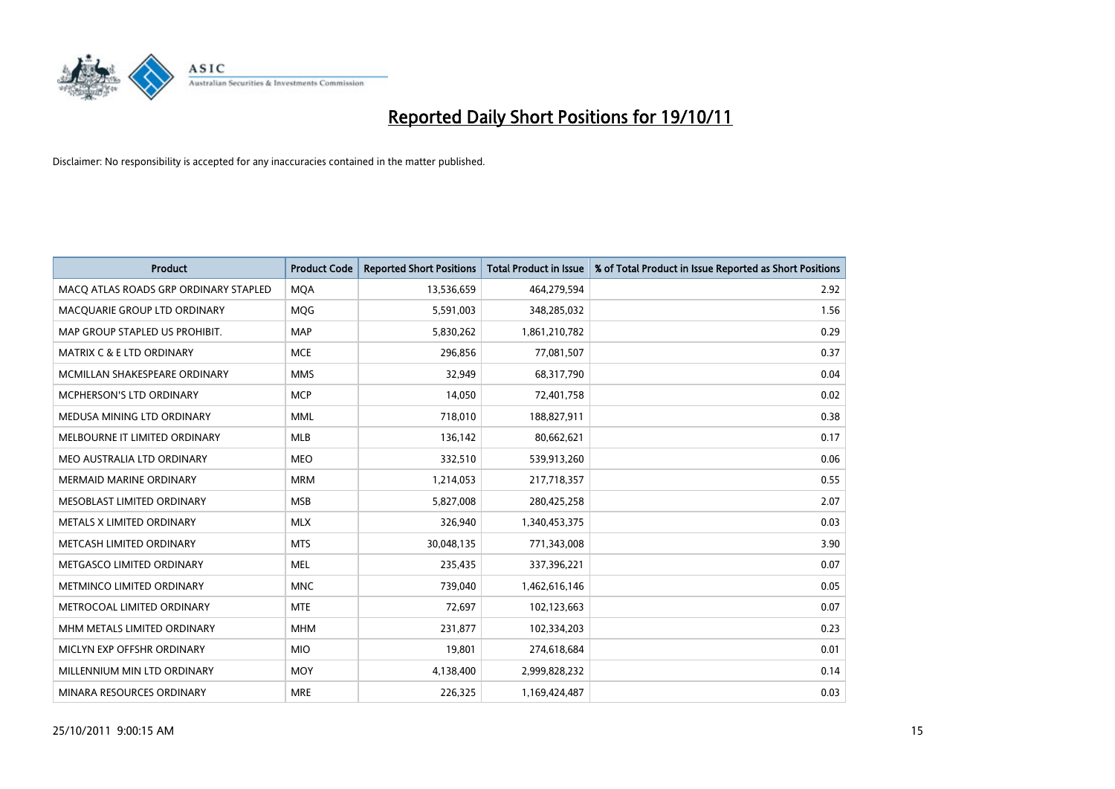

| <b>Product</b>                        | <b>Product Code</b> | <b>Reported Short Positions</b> | <b>Total Product in Issue</b> | % of Total Product in Issue Reported as Short Positions |
|---------------------------------------|---------------------|---------------------------------|-------------------------------|---------------------------------------------------------|
| MACQ ATLAS ROADS GRP ORDINARY STAPLED | <b>MOA</b>          | 13,536,659                      | 464,279,594                   | 2.92                                                    |
| MACQUARIE GROUP LTD ORDINARY          | <b>MOG</b>          | 5,591,003                       | 348,285,032                   | 1.56                                                    |
| MAP GROUP STAPLED US PROHIBIT.        | <b>MAP</b>          | 5,830,262                       | 1,861,210,782                 | 0.29                                                    |
| MATRIX C & E LTD ORDINARY             | <b>MCE</b>          | 296,856                         | 77,081,507                    | 0.37                                                    |
| MCMILLAN SHAKESPEARE ORDINARY         | <b>MMS</b>          | 32,949                          | 68,317,790                    | 0.04                                                    |
| MCPHERSON'S LTD ORDINARY              | <b>MCP</b>          | 14,050                          | 72,401,758                    | 0.02                                                    |
| MEDUSA MINING LTD ORDINARY            | <b>MML</b>          | 718,010                         | 188,827,911                   | 0.38                                                    |
| MELBOURNE IT LIMITED ORDINARY         | <b>MLB</b>          | 136,142                         | 80,662,621                    | 0.17                                                    |
| MEO AUSTRALIA LTD ORDINARY            | <b>MEO</b>          | 332,510                         | 539,913,260                   | 0.06                                                    |
| <b>MERMAID MARINE ORDINARY</b>        | <b>MRM</b>          | 1,214,053                       | 217,718,357                   | 0.55                                                    |
| MESOBLAST LIMITED ORDINARY            | <b>MSB</b>          | 5,827,008                       | 280,425,258                   | 2.07                                                    |
| <b>METALS X LIMITED ORDINARY</b>      | <b>MLX</b>          | 326,940                         | 1,340,453,375                 | 0.03                                                    |
| METCASH LIMITED ORDINARY              | <b>MTS</b>          | 30,048,135                      | 771,343,008                   | 3.90                                                    |
| METGASCO LIMITED ORDINARY             | <b>MEL</b>          | 235,435                         | 337,396,221                   | 0.07                                                    |
| METMINCO LIMITED ORDINARY             | <b>MNC</b>          | 739,040                         | 1,462,616,146                 | 0.05                                                    |
| METROCOAL LIMITED ORDINARY            | <b>MTE</b>          | 72,697                          | 102,123,663                   | 0.07                                                    |
| MHM METALS LIMITED ORDINARY           | <b>MHM</b>          | 231,877                         | 102,334,203                   | 0.23                                                    |
| MICLYN EXP OFFSHR ORDINARY            | <b>MIO</b>          | 19,801                          | 274,618,684                   | 0.01                                                    |
| MILLENNIUM MIN LTD ORDINARY           | <b>MOY</b>          | 4,138,400                       | 2,999,828,232                 | 0.14                                                    |
| MINARA RESOURCES ORDINARY             | <b>MRE</b>          | 226,325                         | 1,169,424,487                 | 0.03                                                    |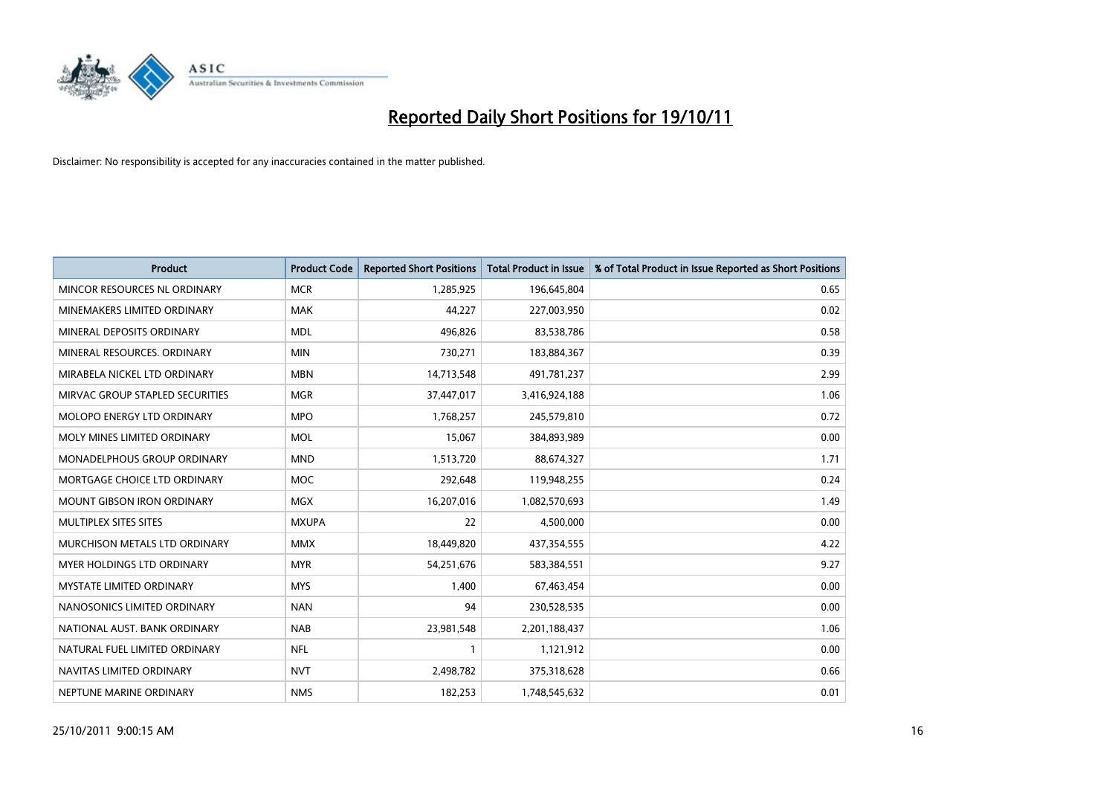

| <b>Product</b>                     | <b>Product Code</b> | <b>Reported Short Positions</b> | <b>Total Product in Issue</b> | % of Total Product in Issue Reported as Short Positions |
|------------------------------------|---------------------|---------------------------------|-------------------------------|---------------------------------------------------------|
| MINCOR RESOURCES NL ORDINARY       | <b>MCR</b>          | 1,285,925                       | 196,645,804                   | 0.65                                                    |
| MINEMAKERS LIMITED ORDINARY        | <b>MAK</b>          | 44,227                          | 227,003,950                   | 0.02                                                    |
| MINERAL DEPOSITS ORDINARY          | <b>MDL</b>          | 496,826                         | 83,538,786                    | 0.58                                                    |
| MINERAL RESOURCES. ORDINARY        | <b>MIN</b>          | 730,271                         | 183,884,367                   | 0.39                                                    |
| MIRABELA NICKEL LTD ORDINARY       | <b>MBN</b>          | 14,713,548                      | 491,781,237                   | 2.99                                                    |
| MIRVAC GROUP STAPLED SECURITIES    | <b>MGR</b>          | 37,447,017                      | 3,416,924,188                 | 1.06                                                    |
| <b>MOLOPO ENERGY LTD ORDINARY</b>  | <b>MPO</b>          | 1,768,257                       | 245,579,810                   | 0.72                                                    |
| MOLY MINES LIMITED ORDINARY        | <b>MOL</b>          | 15,067                          | 384,893,989                   | 0.00                                                    |
| <b>MONADELPHOUS GROUP ORDINARY</b> | <b>MND</b>          | 1,513,720                       | 88,674,327                    | 1.71                                                    |
| MORTGAGE CHOICE LTD ORDINARY       | <b>MOC</b>          | 292,648                         | 119,948,255                   | 0.24                                                    |
| <b>MOUNT GIBSON IRON ORDINARY</b>  | <b>MGX</b>          | 16,207,016                      | 1,082,570,693                 | 1.49                                                    |
| MULTIPLEX SITES SITES              | <b>MXUPA</b>        | 22                              | 4,500,000                     | 0.00                                                    |
| MURCHISON METALS LTD ORDINARY      | <b>MMX</b>          | 18,449,820                      | 437,354,555                   | 4.22                                                    |
| <b>MYER HOLDINGS LTD ORDINARY</b>  | <b>MYR</b>          | 54,251,676                      | 583,384,551                   | 9.27                                                    |
| <b>MYSTATE LIMITED ORDINARY</b>    | <b>MYS</b>          | 1,400                           | 67,463,454                    | 0.00                                                    |
| NANOSONICS LIMITED ORDINARY        | <b>NAN</b>          | 94                              | 230,528,535                   | 0.00                                                    |
| NATIONAL AUST. BANK ORDINARY       | <b>NAB</b>          | 23,981,548                      | 2,201,188,437                 | 1.06                                                    |
| NATURAL FUEL LIMITED ORDINARY      | <b>NFL</b>          |                                 | 1,121,912                     | 0.00                                                    |
| NAVITAS LIMITED ORDINARY           | <b>NVT</b>          | 2,498,782                       | 375,318,628                   | 0.66                                                    |
| NEPTUNE MARINE ORDINARY            | <b>NMS</b>          | 182,253                         | 1,748,545,632                 | 0.01                                                    |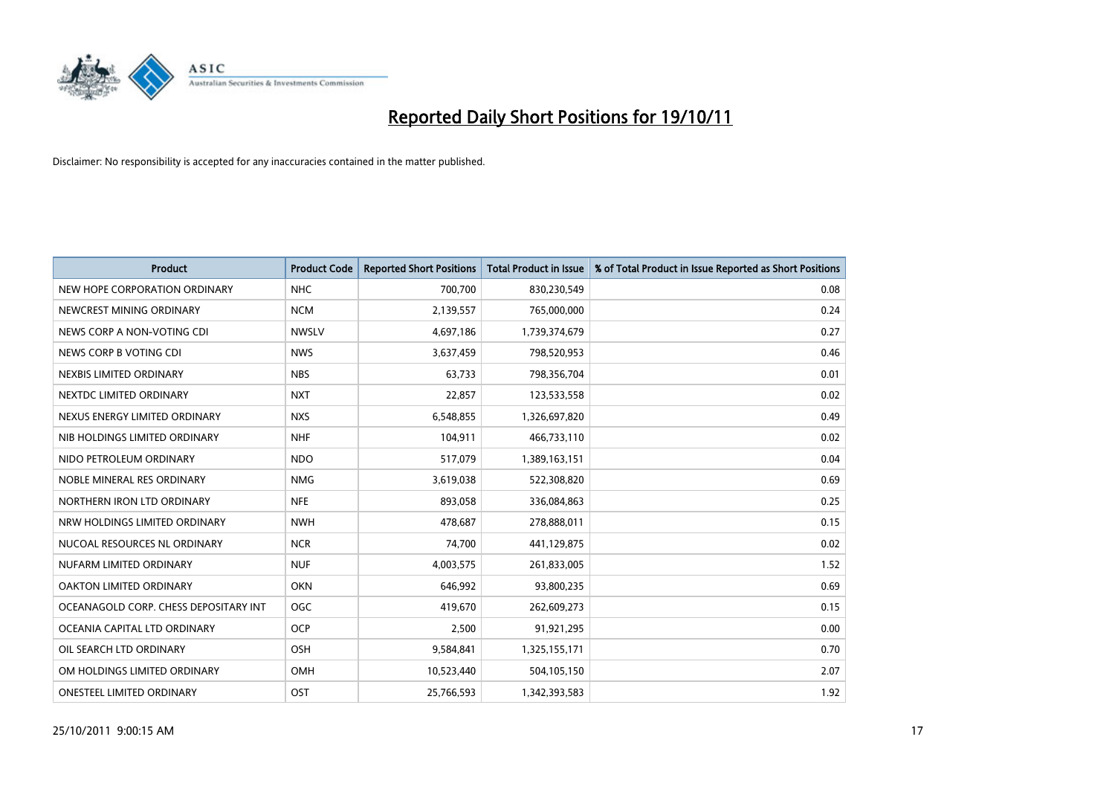

| <b>Product</b>                        | <b>Product Code</b> | <b>Reported Short Positions</b> | <b>Total Product in Issue</b> | % of Total Product in Issue Reported as Short Positions |
|---------------------------------------|---------------------|---------------------------------|-------------------------------|---------------------------------------------------------|
| NEW HOPE CORPORATION ORDINARY         | NHC                 | 700,700                         | 830,230,549                   | 0.08                                                    |
| NEWCREST MINING ORDINARY              | <b>NCM</b>          | 2,139,557                       | 765,000,000                   | 0.24                                                    |
| NEWS CORP A NON-VOTING CDI            | <b>NWSLV</b>        | 4,697,186                       | 1,739,374,679                 | 0.27                                                    |
| NEWS CORP B VOTING CDI                | <b>NWS</b>          | 3,637,459                       | 798,520,953                   | 0.46                                                    |
| NEXBIS LIMITED ORDINARY               | <b>NBS</b>          | 63,733                          | 798,356,704                   | 0.01                                                    |
| NEXTDC LIMITED ORDINARY               | <b>NXT</b>          | 22,857                          | 123,533,558                   | 0.02                                                    |
| NEXUS ENERGY LIMITED ORDINARY         | <b>NXS</b>          | 6,548,855                       | 1,326,697,820                 | 0.49                                                    |
| NIB HOLDINGS LIMITED ORDINARY         | <b>NHF</b>          | 104,911                         | 466,733,110                   | 0.02                                                    |
| NIDO PETROLEUM ORDINARY               | <b>NDO</b>          | 517,079                         | 1,389,163,151                 | 0.04                                                    |
| NOBLE MINERAL RES ORDINARY            | <b>NMG</b>          | 3,619,038                       | 522,308,820                   | 0.69                                                    |
| NORTHERN IRON LTD ORDINARY            | <b>NFE</b>          | 893,058                         | 336,084,863                   | 0.25                                                    |
| NRW HOLDINGS LIMITED ORDINARY         | <b>NWH</b>          | 478,687                         | 278,888,011                   | 0.15                                                    |
| NUCOAL RESOURCES NL ORDINARY          | <b>NCR</b>          | 74,700                          | 441,129,875                   | 0.02                                                    |
| NUFARM LIMITED ORDINARY               | <b>NUF</b>          | 4,003,575                       | 261,833,005                   | 1.52                                                    |
| OAKTON LIMITED ORDINARY               | <b>OKN</b>          | 646,992                         | 93,800,235                    | 0.69                                                    |
| OCEANAGOLD CORP. CHESS DEPOSITARY INT | <b>OGC</b>          | 419,670                         | 262,609,273                   | 0.15                                                    |
| OCEANIA CAPITAL LTD ORDINARY          | <b>OCP</b>          | 2,500                           | 91,921,295                    | 0.00                                                    |
| OIL SEARCH LTD ORDINARY               | <b>OSH</b>          | 9,584,841                       | 1,325,155,171                 | 0.70                                                    |
| OM HOLDINGS LIMITED ORDINARY          | <b>OMH</b>          | 10,523,440                      | 504,105,150                   | 2.07                                                    |
| <b>ONESTEEL LIMITED ORDINARY</b>      | OST                 | 25,766,593                      | 1,342,393,583                 | 1.92                                                    |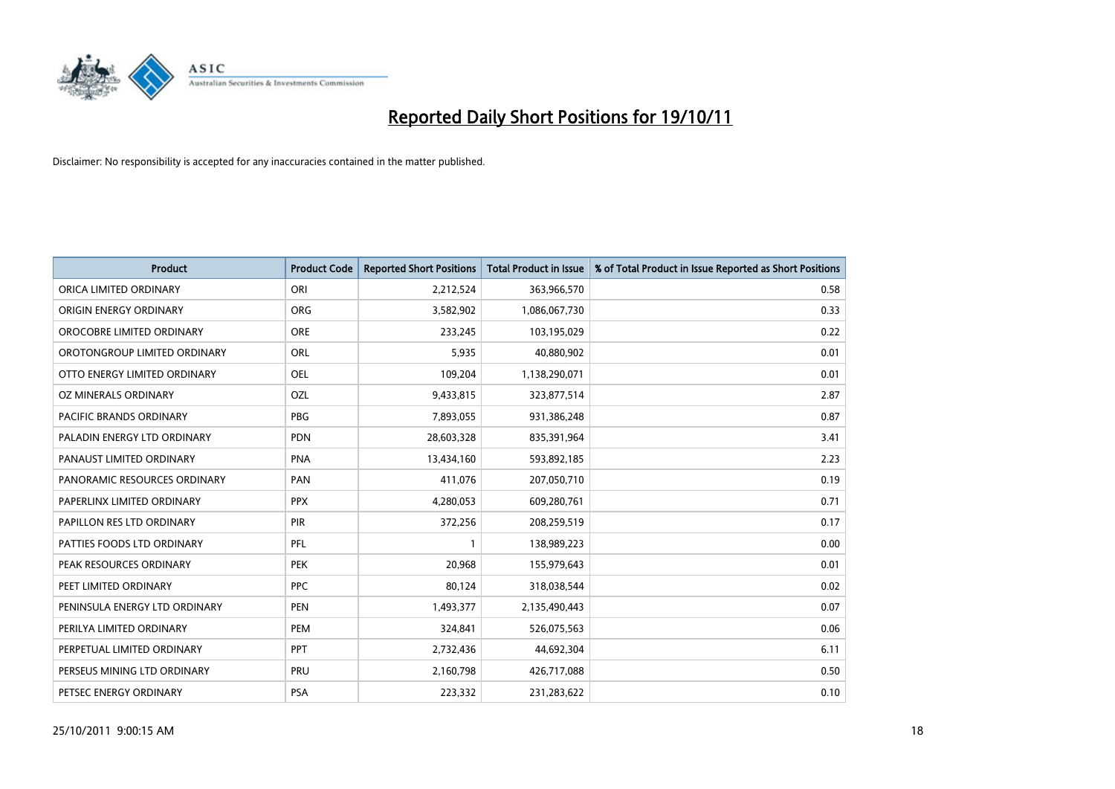

| <b>Product</b>                | <b>Product Code</b> | <b>Reported Short Positions</b> | <b>Total Product in Issue</b> | % of Total Product in Issue Reported as Short Positions |
|-------------------------------|---------------------|---------------------------------|-------------------------------|---------------------------------------------------------|
| ORICA LIMITED ORDINARY        | ORI                 | 2,212,524                       | 363,966,570                   | 0.58                                                    |
| ORIGIN ENERGY ORDINARY        | <b>ORG</b>          | 3,582,902                       | 1,086,067,730                 | 0.33                                                    |
| OROCOBRE LIMITED ORDINARY     | <b>ORE</b>          | 233,245                         | 103,195,029                   | 0.22                                                    |
| OROTONGROUP LIMITED ORDINARY  | <b>ORL</b>          | 5,935                           | 40,880,902                    | 0.01                                                    |
| OTTO ENERGY LIMITED ORDINARY  | <b>OEL</b>          | 109,204                         | 1,138,290,071                 | 0.01                                                    |
| OZ MINERALS ORDINARY          | OZL                 | 9,433,815                       | 323,877,514                   | 2.87                                                    |
| PACIFIC BRANDS ORDINARY       | <b>PBG</b>          | 7,893,055                       | 931,386,248                   | 0.87                                                    |
| PALADIN ENERGY LTD ORDINARY   | <b>PDN</b>          | 28,603,328                      | 835,391,964                   | 3.41                                                    |
| PANAUST LIMITED ORDINARY      | <b>PNA</b>          | 13,434,160                      | 593,892,185                   | 2.23                                                    |
| PANORAMIC RESOURCES ORDINARY  | PAN                 | 411,076                         | 207,050,710                   | 0.19                                                    |
| PAPERLINX LIMITED ORDINARY    | <b>PPX</b>          | 4,280,053                       | 609,280,761                   | 0.71                                                    |
| PAPILLON RES LTD ORDINARY     | <b>PIR</b>          | 372,256                         | 208,259,519                   | 0.17                                                    |
| PATTIES FOODS LTD ORDINARY    | PFL                 |                                 | 138,989,223                   | 0.00                                                    |
| PEAK RESOURCES ORDINARY       | <b>PEK</b>          | 20,968                          | 155,979,643                   | 0.01                                                    |
| PEET LIMITED ORDINARY         | <b>PPC</b>          | 80,124                          | 318,038,544                   | 0.02                                                    |
| PENINSULA ENERGY LTD ORDINARY | <b>PEN</b>          | 1,493,377                       | 2,135,490,443                 | 0.07                                                    |
| PERILYA LIMITED ORDINARY      | PEM                 | 324,841                         | 526,075,563                   | 0.06                                                    |
| PERPETUAL LIMITED ORDINARY    | <b>PPT</b>          | 2,732,436                       | 44,692,304                    | 6.11                                                    |
| PERSEUS MINING LTD ORDINARY   | PRU                 | 2,160,798                       | 426,717,088                   | 0.50                                                    |
| PETSEC ENERGY ORDINARY        | <b>PSA</b>          | 223,332                         | 231,283,622                   | 0.10                                                    |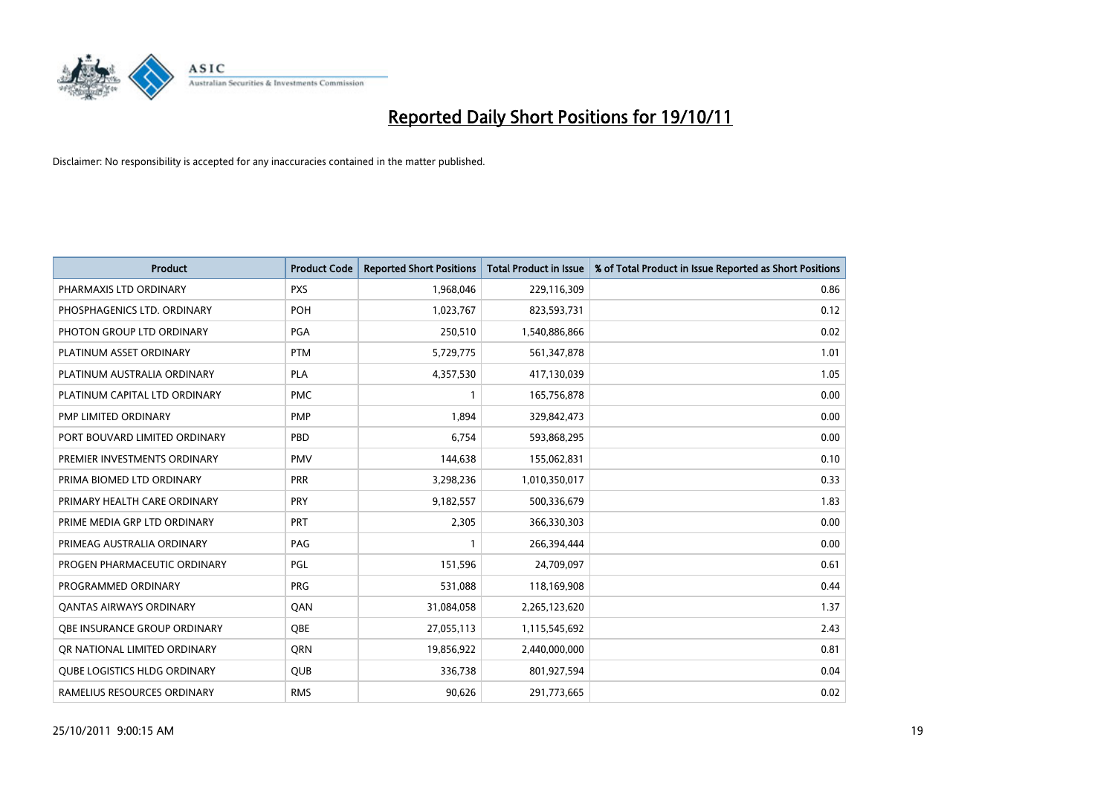

| <b>Product</b>                      | <b>Product Code</b> | <b>Reported Short Positions</b> | <b>Total Product in Issue</b> | % of Total Product in Issue Reported as Short Positions |
|-------------------------------------|---------------------|---------------------------------|-------------------------------|---------------------------------------------------------|
| PHARMAXIS LTD ORDINARY              | <b>PXS</b>          | 1,968,046                       | 229,116,309                   | 0.86                                                    |
| PHOSPHAGENICS LTD. ORDINARY         | POH                 | 1,023,767                       | 823,593,731                   | 0.12                                                    |
| PHOTON GROUP LTD ORDINARY           | PGA                 | 250,510                         | 1,540,886,866                 | 0.02                                                    |
| PLATINUM ASSET ORDINARY             | <b>PTM</b>          | 5,729,775                       | 561,347,878                   | 1.01                                                    |
| PLATINUM AUSTRALIA ORDINARY         | <b>PLA</b>          | 4,357,530                       | 417,130,039                   | 1.05                                                    |
| PLATINUM CAPITAL LTD ORDINARY       | <b>PMC</b>          |                                 | 165,756,878                   | 0.00                                                    |
| PMP LIMITED ORDINARY                | <b>PMP</b>          | 1,894                           | 329,842,473                   | 0.00                                                    |
| PORT BOUVARD LIMITED ORDINARY       | PBD                 | 6,754                           | 593,868,295                   | 0.00                                                    |
| PREMIER INVESTMENTS ORDINARY        | <b>PMV</b>          | 144,638                         | 155,062,831                   | 0.10                                                    |
| PRIMA BIOMED LTD ORDINARY           | <b>PRR</b>          | 3,298,236                       | 1,010,350,017                 | 0.33                                                    |
| PRIMARY HEALTH CARE ORDINARY        | <b>PRY</b>          | 9,182,557                       | 500,336,679                   | 1.83                                                    |
| PRIME MEDIA GRP LTD ORDINARY        | PRT                 | 2,305                           | 366,330,303                   | 0.00                                                    |
| PRIMEAG AUSTRALIA ORDINARY          | PAG                 |                                 | 266,394,444                   | 0.00                                                    |
| PROGEN PHARMACEUTIC ORDINARY        | PGL                 | 151,596                         | 24,709,097                    | 0.61                                                    |
| PROGRAMMED ORDINARY                 | <b>PRG</b>          | 531,088                         | 118,169,908                   | 0.44                                                    |
| <b>QANTAS AIRWAYS ORDINARY</b>      | QAN                 | 31,084,058                      | 2,265,123,620                 | 1.37                                                    |
| <b>OBE INSURANCE GROUP ORDINARY</b> | <b>OBE</b>          | 27,055,113                      | 1,115,545,692                 | 2.43                                                    |
| OR NATIONAL LIMITED ORDINARY        | <b>ORN</b>          | 19,856,922                      | 2,440,000,000                 | 0.81                                                    |
| <b>QUBE LOGISTICS HLDG ORDINARY</b> | <b>QUB</b>          | 336,738                         | 801,927,594                   | 0.04                                                    |
| RAMELIUS RESOURCES ORDINARY         | <b>RMS</b>          | 90,626                          | 291,773,665                   | 0.02                                                    |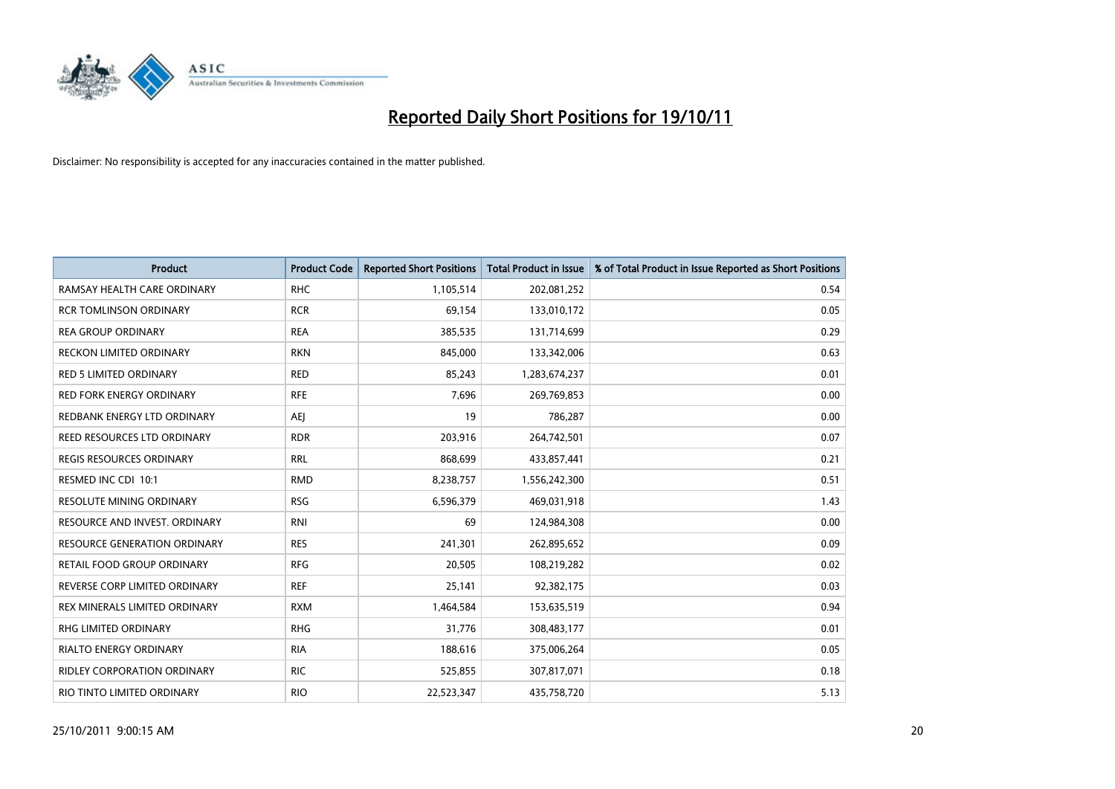

| <b>Product</b>                     | <b>Product Code</b> | <b>Reported Short Positions</b> | <b>Total Product in Issue</b> | % of Total Product in Issue Reported as Short Positions |
|------------------------------------|---------------------|---------------------------------|-------------------------------|---------------------------------------------------------|
| RAMSAY HEALTH CARE ORDINARY        | <b>RHC</b>          | 1,105,514                       | 202,081,252                   | 0.54                                                    |
| <b>RCR TOMLINSON ORDINARY</b>      | <b>RCR</b>          | 69,154                          | 133,010,172                   | 0.05                                                    |
| <b>REA GROUP ORDINARY</b>          | <b>REA</b>          | 385,535                         | 131,714,699                   | 0.29                                                    |
| RECKON LIMITED ORDINARY            | <b>RKN</b>          | 845,000                         | 133,342,006                   | 0.63                                                    |
| <b>RED 5 LIMITED ORDINARY</b>      | <b>RED</b>          | 85,243                          | 1,283,674,237                 | 0.01                                                    |
| <b>RED FORK ENERGY ORDINARY</b>    | <b>RFE</b>          | 7,696                           | 269,769,853                   | 0.00                                                    |
| REDBANK ENERGY LTD ORDINARY        | AEJ                 | 19                              | 786,287                       | 0.00                                                    |
| REED RESOURCES LTD ORDINARY        | <b>RDR</b>          | 203,916                         | 264,742,501                   | 0.07                                                    |
| <b>REGIS RESOURCES ORDINARY</b>    | <b>RRL</b>          | 868,699                         | 433,857,441                   | 0.21                                                    |
| RESMED INC CDI 10:1                | <b>RMD</b>          | 8,238,757                       | 1,556,242,300                 | 0.51                                                    |
| RESOLUTE MINING ORDINARY           | <b>RSG</b>          | 6,596,379                       | 469,031,918                   | 1.43                                                    |
| RESOURCE AND INVEST. ORDINARY      | <b>RNI</b>          | 69                              | 124,984,308                   | 0.00                                                    |
| RESOURCE GENERATION ORDINARY       | <b>RES</b>          | 241,301                         | 262,895,652                   | 0.09                                                    |
| RETAIL FOOD GROUP ORDINARY         | <b>RFG</b>          | 20,505                          | 108,219,282                   | 0.02                                                    |
| REVERSE CORP LIMITED ORDINARY      | <b>REF</b>          | 25,141                          | 92,382,175                    | 0.03                                                    |
| REX MINERALS LIMITED ORDINARY      | <b>RXM</b>          | 1,464,584                       | 153,635,519                   | 0.94                                                    |
| RHG LIMITED ORDINARY               | <b>RHG</b>          | 31,776                          | 308,483,177                   | 0.01                                                    |
| RIALTO ENERGY ORDINARY             | <b>RIA</b>          | 188,616                         | 375,006,264                   | 0.05                                                    |
| <b>RIDLEY CORPORATION ORDINARY</b> | <b>RIC</b>          | 525,855                         | 307,817,071                   | 0.18                                                    |
| RIO TINTO LIMITED ORDINARY         | <b>RIO</b>          | 22,523,347                      | 435,758,720                   | 5.13                                                    |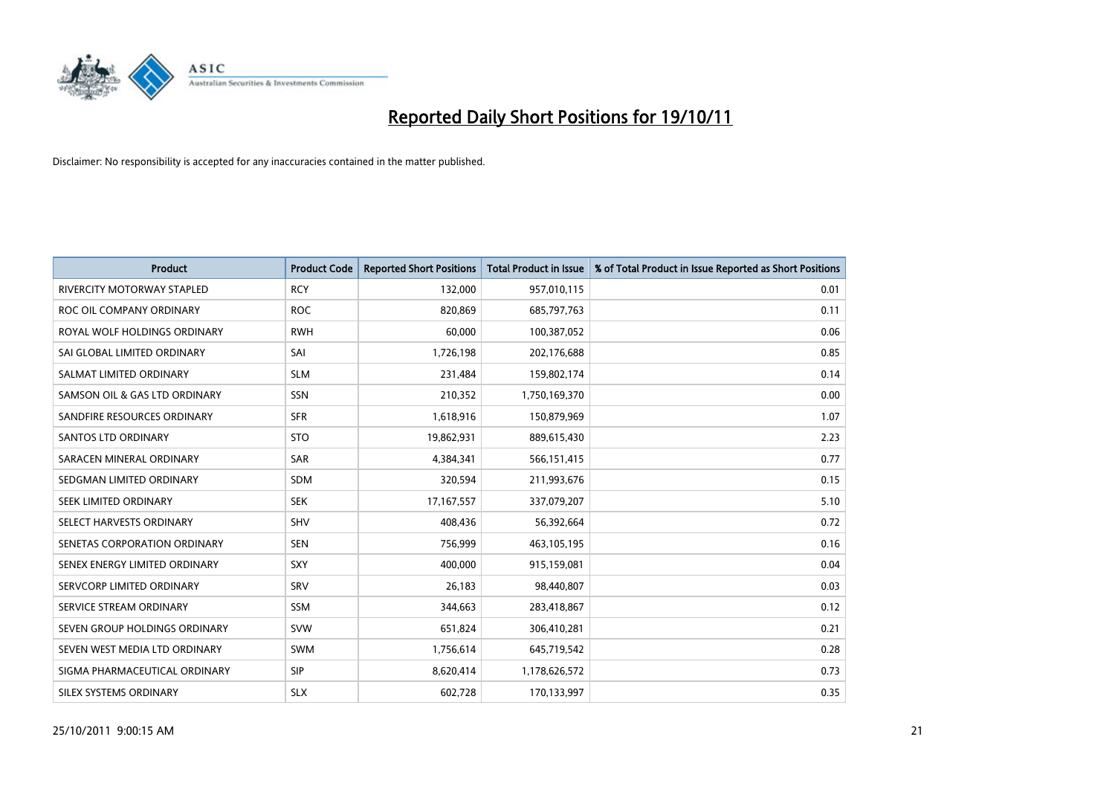

| <b>Product</b>                | <b>Product Code</b> | <b>Reported Short Positions</b> | <b>Total Product in Issue</b> | % of Total Product in Issue Reported as Short Positions |
|-------------------------------|---------------------|---------------------------------|-------------------------------|---------------------------------------------------------|
| RIVERCITY MOTORWAY STAPLED    | <b>RCY</b>          | 132,000                         | 957,010,115                   | 0.01                                                    |
| ROC OIL COMPANY ORDINARY      | <b>ROC</b>          | 820,869                         | 685,797,763                   | 0.11                                                    |
| ROYAL WOLF HOLDINGS ORDINARY  | <b>RWH</b>          | 60,000                          | 100,387,052                   | 0.06                                                    |
| SAI GLOBAL LIMITED ORDINARY   | SAI                 | 1,726,198                       | 202,176,688                   | 0.85                                                    |
| SALMAT LIMITED ORDINARY       | <b>SLM</b>          | 231,484                         | 159,802,174                   | 0.14                                                    |
| SAMSON OIL & GAS LTD ORDINARY | <b>SSN</b>          | 210,352                         | 1,750,169,370                 | 0.00                                                    |
| SANDFIRE RESOURCES ORDINARY   | <b>SFR</b>          | 1,618,916                       | 150,879,969                   | 1.07                                                    |
| <b>SANTOS LTD ORDINARY</b>    | <b>STO</b>          | 19,862,931                      | 889,615,430                   | 2.23                                                    |
| SARACEN MINERAL ORDINARY      | <b>SAR</b>          | 4,384,341                       | 566,151,415                   | 0.77                                                    |
| SEDGMAN LIMITED ORDINARY      | <b>SDM</b>          | 320,594                         | 211,993,676                   | 0.15                                                    |
| SEEK LIMITED ORDINARY         | <b>SEK</b>          | 17, 167, 557                    | 337,079,207                   | 5.10                                                    |
| SELECT HARVESTS ORDINARY      | <b>SHV</b>          | 408,436                         | 56,392,664                    | 0.72                                                    |
| SENETAS CORPORATION ORDINARY  | <b>SEN</b>          | 756,999                         | 463,105,195                   | 0.16                                                    |
| SENEX ENERGY LIMITED ORDINARY | <b>SXY</b>          | 400,000                         | 915,159,081                   | 0.04                                                    |
| SERVCORP LIMITED ORDINARY     | SRV                 | 26,183                          | 98,440,807                    | 0.03                                                    |
| SERVICE STREAM ORDINARY       | SSM                 | 344,663                         | 283,418,867                   | 0.12                                                    |
| SEVEN GROUP HOLDINGS ORDINARY | <b>SVW</b>          | 651,824                         | 306,410,281                   | 0.21                                                    |
| SEVEN WEST MEDIA LTD ORDINARY | <b>SWM</b>          | 1,756,614                       | 645,719,542                   | 0.28                                                    |
| SIGMA PHARMACEUTICAL ORDINARY | <b>SIP</b>          | 8,620,414                       | 1,178,626,572                 | 0.73                                                    |
| SILEX SYSTEMS ORDINARY        | <b>SLX</b>          | 602,728                         | 170,133,997                   | 0.35                                                    |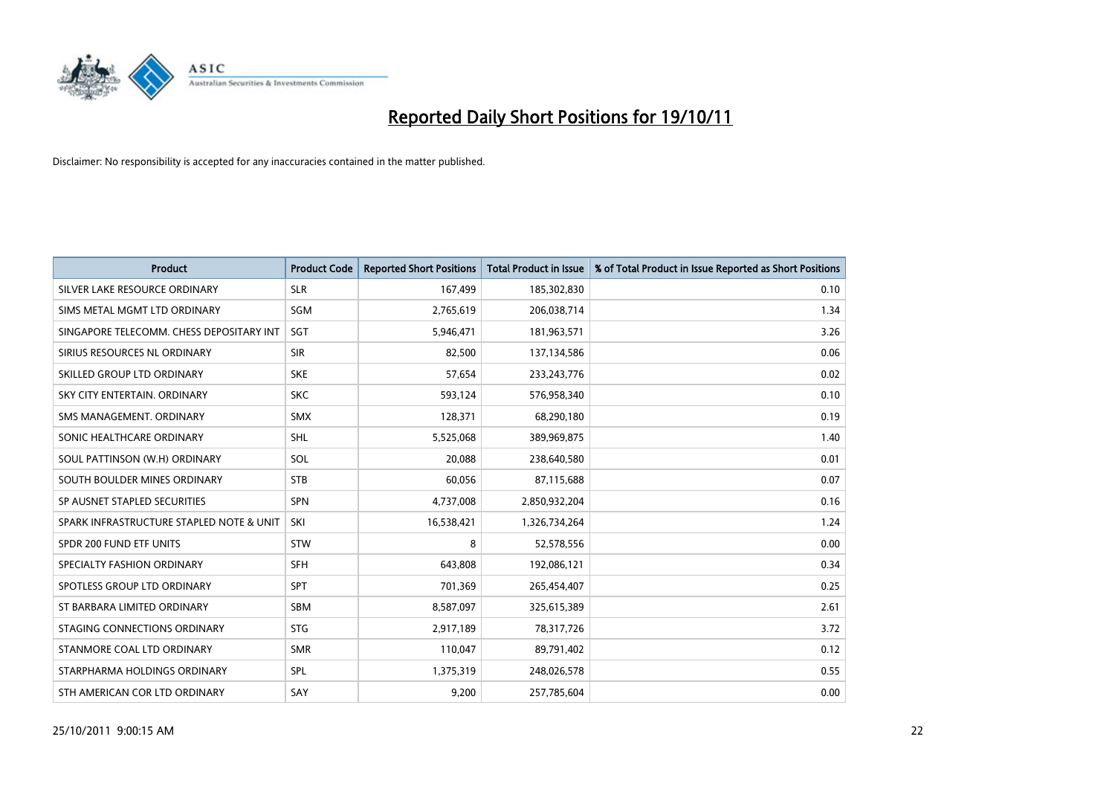

| <b>Product</b>                           | <b>Product Code</b> | <b>Reported Short Positions</b> | <b>Total Product in Issue</b> | % of Total Product in Issue Reported as Short Positions |
|------------------------------------------|---------------------|---------------------------------|-------------------------------|---------------------------------------------------------|
| SILVER LAKE RESOURCE ORDINARY            | <b>SLR</b>          | 167,499                         | 185,302,830                   | 0.10                                                    |
| SIMS METAL MGMT LTD ORDINARY             | <b>SGM</b>          | 2,765,619                       | 206,038,714                   | 1.34                                                    |
| SINGAPORE TELECOMM. CHESS DEPOSITARY INT | <b>SGT</b>          | 5,946,471                       | 181,963,571                   | 3.26                                                    |
| SIRIUS RESOURCES NL ORDINARY             | <b>SIR</b>          | 82,500                          | 137,134,586                   | 0.06                                                    |
| SKILLED GROUP LTD ORDINARY               | <b>SKE</b>          | 57,654                          | 233, 243, 776                 | 0.02                                                    |
| SKY CITY ENTERTAIN, ORDINARY             | <b>SKC</b>          | 593,124                         | 576,958,340                   | 0.10                                                    |
| SMS MANAGEMENT, ORDINARY                 | <b>SMX</b>          | 128,371                         | 68,290,180                    | 0.19                                                    |
| SONIC HEALTHCARE ORDINARY                | <b>SHL</b>          | 5,525,068                       | 389,969,875                   | 1.40                                                    |
| SOUL PATTINSON (W.H) ORDINARY            | SOL                 | 20.088                          | 238,640,580                   | 0.01                                                    |
| SOUTH BOULDER MINES ORDINARY             | <b>STB</b>          | 60,056                          | 87,115,688                    | 0.07                                                    |
| SP AUSNET STAPLED SECURITIES             | <b>SPN</b>          | 4,737,008                       | 2,850,932,204                 | 0.16                                                    |
| SPARK INFRASTRUCTURE STAPLED NOTE & UNIT | SKI                 | 16,538,421                      | 1,326,734,264                 | 1.24                                                    |
| SPDR 200 FUND ETF UNITS                  | <b>STW</b>          | 8                               | 52,578,556                    | 0.00                                                    |
| SPECIALTY FASHION ORDINARY               | <b>SFH</b>          | 643,808                         | 192,086,121                   | 0.34                                                    |
| SPOTLESS GROUP LTD ORDINARY              | <b>SPT</b>          | 701,369                         | 265,454,407                   | 0.25                                                    |
| ST BARBARA LIMITED ORDINARY              | <b>SBM</b>          | 8,587,097                       | 325,615,389                   | 2.61                                                    |
| STAGING CONNECTIONS ORDINARY             | <b>STG</b>          | 2,917,189                       | 78,317,726                    | 3.72                                                    |
| STANMORE COAL LTD ORDINARY               | <b>SMR</b>          | 110,047                         | 89,791,402                    | 0.12                                                    |
| STARPHARMA HOLDINGS ORDINARY             | <b>SPL</b>          | 1,375,319                       | 248,026,578                   | 0.55                                                    |
| STH AMERICAN COR LTD ORDINARY            | SAY                 | 9,200                           | 257,785,604                   | 0.00                                                    |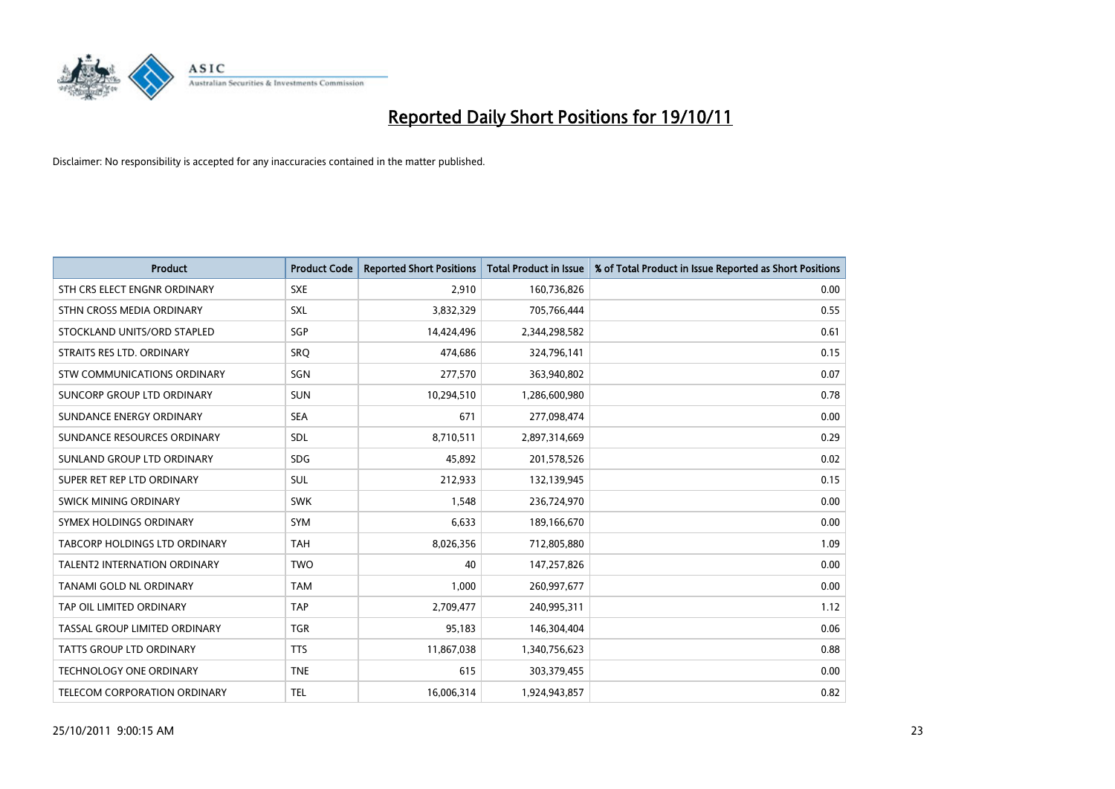

| <b>Product</b>                      | <b>Product Code</b> | <b>Reported Short Positions</b> | <b>Total Product in Issue</b> | % of Total Product in Issue Reported as Short Positions |
|-------------------------------------|---------------------|---------------------------------|-------------------------------|---------------------------------------------------------|
| STH CRS ELECT ENGNR ORDINARY        | <b>SXE</b>          | 2,910                           | 160,736,826                   | 0.00                                                    |
| STHN CROSS MEDIA ORDINARY           | <b>SXL</b>          | 3,832,329                       | 705,766,444                   | 0.55                                                    |
| STOCKLAND UNITS/ORD STAPLED         | SGP                 | 14,424,496                      | 2,344,298,582                 | 0.61                                                    |
| STRAITS RES LTD. ORDINARY           | SRQ                 | 474,686                         | 324,796,141                   | 0.15                                                    |
| <b>STW COMMUNICATIONS ORDINARY</b>  | SGN                 | 277,570                         | 363,940,802                   | 0.07                                                    |
| SUNCORP GROUP LTD ORDINARY          | <b>SUN</b>          | 10,294,510                      | 1,286,600,980                 | 0.78                                                    |
| SUNDANCE ENERGY ORDINARY            | <b>SEA</b>          | 671                             | 277,098,474                   | 0.00                                                    |
| SUNDANCE RESOURCES ORDINARY         | <b>SDL</b>          | 8,710,511                       | 2,897,314,669                 | 0.29                                                    |
| SUNLAND GROUP LTD ORDINARY          | <b>SDG</b>          | 45,892                          | 201,578,526                   | 0.02                                                    |
| SUPER RET REP LTD ORDINARY          | <b>SUL</b>          | 212,933                         | 132,139,945                   | 0.15                                                    |
| SWICK MINING ORDINARY               | <b>SWK</b>          | 1,548                           | 236,724,970                   | 0.00                                                    |
| SYMEX HOLDINGS ORDINARY             | <b>SYM</b>          | 6,633                           | 189,166,670                   | 0.00                                                    |
| TABCORP HOLDINGS LTD ORDINARY       | <b>TAH</b>          | 8,026,356                       | 712,805,880                   | 1.09                                                    |
| <b>TALENT2 INTERNATION ORDINARY</b> | <b>TWO</b>          | 40                              | 147,257,826                   | 0.00                                                    |
| <b>TANAMI GOLD NL ORDINARY</b>      | <b>TAM</b>          | 1,000                           | 260,997,677                   | 0.00                                                    |
| TAP OIL LIMITED ORDINARY            | <b>TAP</b>          | 2,709,477                       | 240,995,311                   | 1.12                                                    |
| TASSAL GROUP LIMITED ORDINARY       | <b>TGR</b>          | 95,183                          | 146,304,404                   | 0.06                                                    |
| TATTS GROUP LTD ORDINARY            | <b>TTS</b>          | 11,867,038                      | 1,340,756,623                 | 0.88                                                    |
| <b>TECHNOLOGY ONE ORDINARY</b>      | <b>TNE</b>          | 615                             | 303,379,455                   | 0.00                                                    |
| TELECOM CORPORATION ORDINARY        | <b>TEL</b>          | 16,006,314                      | 1,924,943,857                 | 0.82                                                    |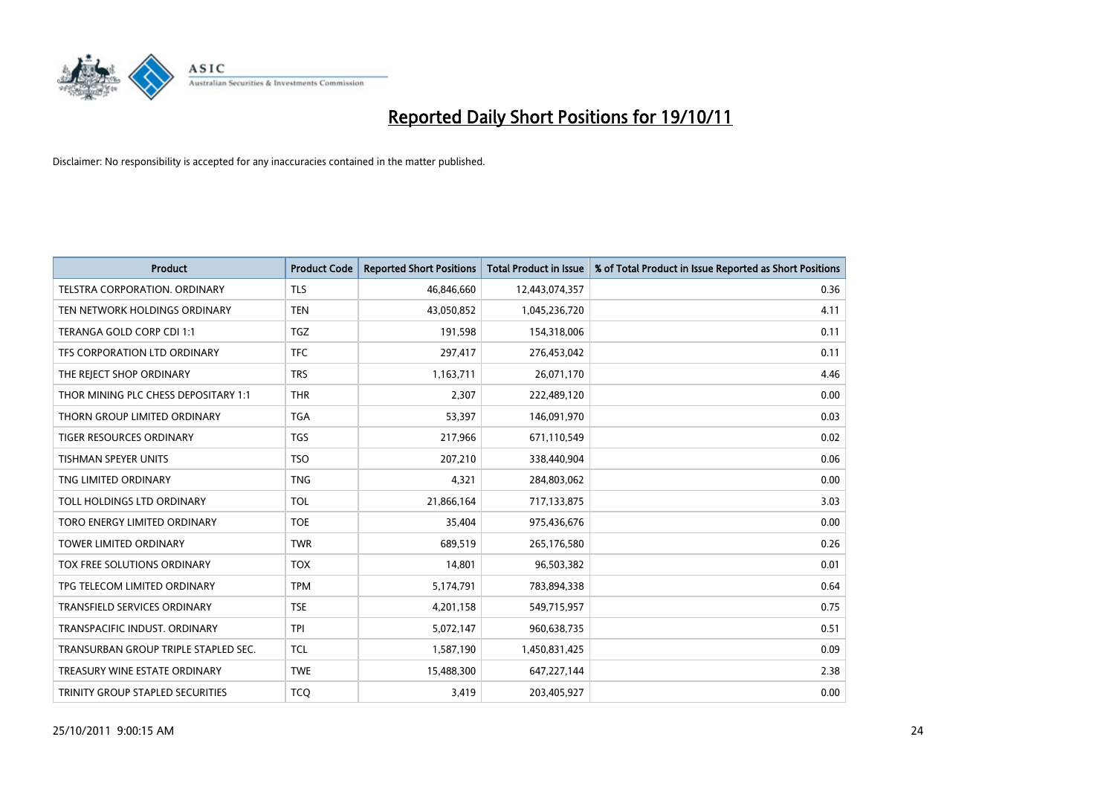

| <b>Product</b>                       | <b>Product Code</b> | <b>Reported Short Positions</b> | <b>Total Product in Issue</b> | % of Total Product in Issue Reported as Short Positions |
|--------------------------------------|---------------------|---------------------------------|-------------------------------|---------------------------------------------------------|
| <b>TELSTRA CORPORATION, ORDINARY</b> | <b>TLS</b>          | 46,846,660                      | 12,443,074,357                | 0.36                                                    |
| TEN NETWORK HOLDINGS ORDINARY        | <b>TEN</b>          | 43,050,852                      | 1,045,236,720                 | 4.11                                                    |
| TERANGA GOLD CORP CDI 1:1            | <b>TGZ</b>          | 191,598                         | 154,318,006                   | 0.11                                                    |
| TFS CORPORATION LTD ORDINARY         | <b>TFC</b>          | 297,417                         | 276,453,042                   | 0.11                                                    |
| THE REJECT SHOP ORDINARY             | <b>TRS</b>          | 1,163,711                       | 26,071,170                    | 4.46                                                    |
| THOR MINING PLC CHESS DEPOSITARY 1:1 | <b>THR</b>          | 2.307                           | 222,489,120                   | 0.00                                                    |
| THORN GROUP LIMITED ORDINARY         | <b>TGA</b>          | 53,397                          | 146,091,970                   | 0.03                                                    |
| TIGER RESOURCES ORDINARY             | <b>TGS</b>          | 217,966                         | 671,110,549                   | 0.02                                                    |
| TISHMAN SPEYER UNITS                 | <b>TSO</b>          | 207,210                         | 338,440,904                   | 0.06                                                    |
| TNG LIMITED ORDINARY                 | <b>TNG</b>          | 4,321                           | 284,803,062                   | 0.00                                                    |
| TOLL HOLDINGS LTD ORDINARY           | <b>TOL</b>          | 21,866,164                      | 717,133,875                   | 3.03                                                    |
| TORO ENERGY LIMITED ORDINARY         | <b>TOE</b>          | 35,404                          | 975,436,676                   | 0.00                                                    |
| <b>TOWER LIMITED ORDINARY</b>        | <b>TWR</b>          | 689,519                         | 265,176,580                   | 0.26                                                    |
| TOX FREE SOLUTIONS ORDINARY          | <b>TOX</b>          | 14,801                          | 96,503,382                    | 0.01                                                    |
| TPG TELECOM LIMITED ORDINARY         | <b>TPM</b>          | 5,174,791                       | 783,894,338                   | 0.64                                                    |
| <b>TRANSFIELD SERVICES ORDINARY</b>  | <b>TSE</b>          | 4,201,158                       | 549,715,957                   | 0.75                                                    |
| TRANSPACIFIC INDUST, ORDINARY        | <b>TPI</b>          | 5,072,147                       | 960,638,735                   | 0.51                                                    |
| TRANSURBAN GROUP TRIPLE STAPLED SEC. | <b>TCL</b>          | 1,587,190                       | 1,450,831,425                 | 0.09                                                    |
| TREASURY WINE ESTATE ORDINARY        | <b>TWE</b>          | 15,488,300                      | 647,227,144                   | 2.38                                                    |
| TRINITY GROUP STAPLED SECURITIES     | <b>TCO</b>          | 3,419                           | 203,405,927                   | 0.00                                                    |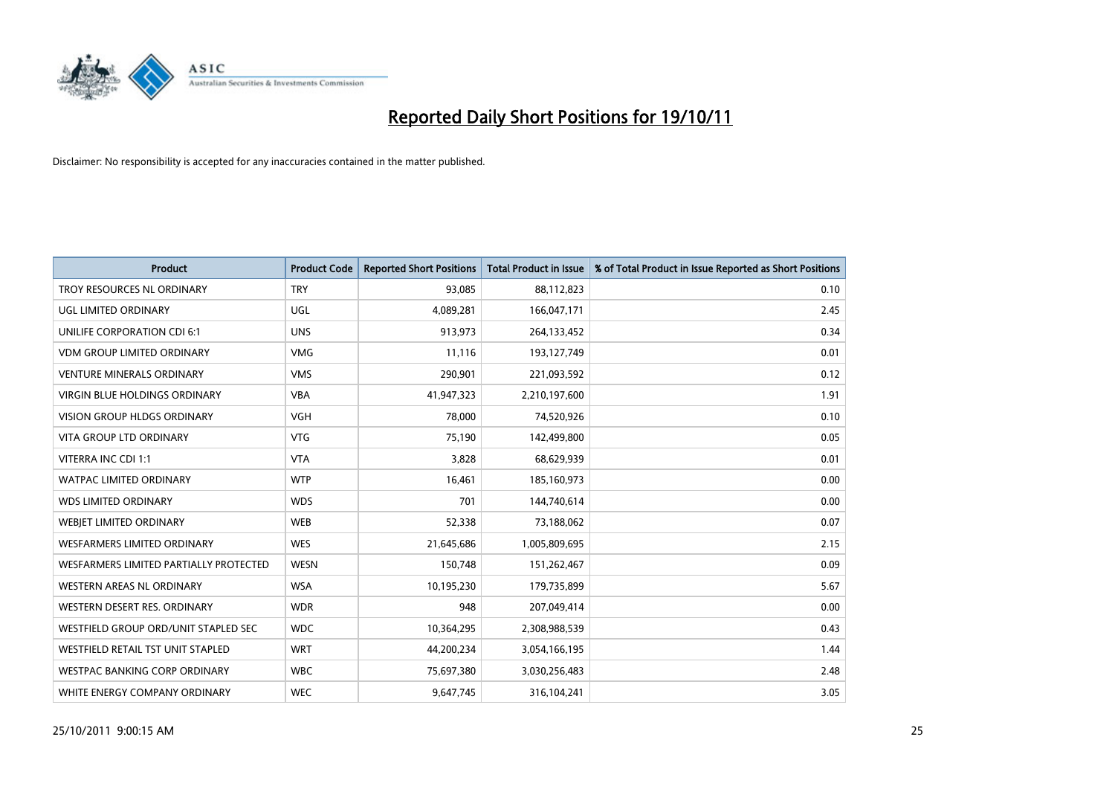

| <b>Product</b>                         | <b>Product Code</b> | <b>Reported Short Positions</b> | <b>Total Product in Issue</b> | % of Total Product in Issue Reported as Short Positions |
|----------------------------------------|---------------------|---------------------------------|-------------------------------|---------------------------------------------------------|
| TROY RESOURCES NL ORDINARY             | <b>TRY</b>          | 93,085                          | 88,112,823                    | 0.10                                                    |
| UGL LIMITED ORDINARY                   | UGL                 | 4,089,281                       | 166,047,171                   | 2.45                                                    |
| <b>UNILIFE CORPORATION CDI 6:1</b>     | <b>UNS</b>          | 913,973                         | 264,133,452                   | 0.34                                                    |
| <b>VDM GROUP LIMITED ORDINARY</b>      | <b>VMG</b>          | 11,116                          | 193,127,749                   | 0.01                                                    |
| <b>VENTURE MINERALS ORDINARY</b>       | <b>VMS</b>          | 290,901                         | 221,093,592                   | 0.12                                                    |
| <b>VIRGIN BLUE HOLDINGS ORDINARY</b>   | <b>VBA</b>          | 41,947,323                      | 2,210,197,600                 | 1.91                                                    |
| <b>VISION GROUP HLDGS ORDINARY</b>     | <b>VGH</b>          | 78,000                          | 74,520,926                    | 0.10                                                    |
| VITA GROUP LTD ORDINARY                | <b>VTG</b>          | 75,190                          | 142,499,800                   | 0.05                                                    |
| VITERRA INC CDI 1:1                    | <b>VTA</b>          | 3,828                           | 68,629,939                    | 0.01                                                    |
| <b>WATPAC LIMITED ORDINARY</b>         | <b>WTP</b>          | 16,461                          | 185,160,973                   | 0.00                                                    |
| <b>WDS LIMITED ORDINARY</b>            | <b>WDS</b>          | 701                             | 144,740,614                   | 0.00                                                    |
| <b>WEBIET LIMITED ORDINARY</b>         | <b>WEB</b>          | 52,338                          | 73,188,062                    | 0.07                                                    |
| <b>WESFARMERS LIMITED ORDINARY</b>     | <b>WES</b>          | 21,645,686                      | 1,005,809,695                 | 2.15                                                    |
| WESFARMERS LIMITED PARTIALLY PROTECTED | <b>WESN</b>         | 150,748                         | 151,262,467                   | 0.09                                                    |
| WESTERN AREAS NL ORDINARY              | <b>WSA</b>          | 10,195,230                      | 179,735,899                   | 5.67                                                    |
| WESTERN DESERT RES. ORDINARY           | <b>WDR</b>          | 948                             | 207,049,414                   | 0.00                                                    |
| WESTFIELD GROUP ORD/UNIT STAPLED SEC   | <b>WDC</b>          | 10,364,295                      | 2,308,988,539                 | 0.43                                                    |
| WESTFIELD RETAIL TST UNIT STAPLED      | <b>WRT</b>          | 44,200,234                      | 3,054,166,195                 | 1.44                                                    |
| <b>WESTPAC BANKING CORP ORDINARY</b>   | <b>WBC</b>          | 75,697,380                      | 3,030,256,483                 | 2.48                                                    |
| WHITE ENERGY COMPANY ORDINARY          | <b>WEC</b>          | 9,647,745                       | 316,104,241                   | 3.05                                                    |